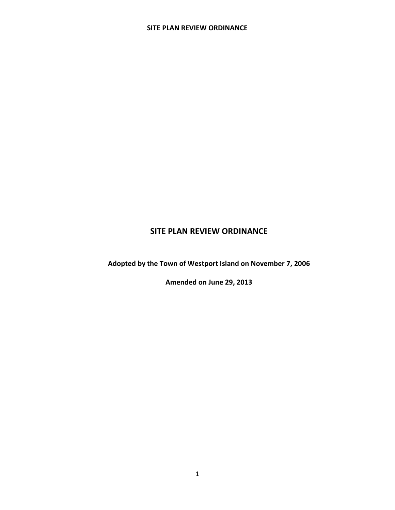**Adopted by the Town of Westport Island on November 7, 2006**

**Amended on June 29, 2013**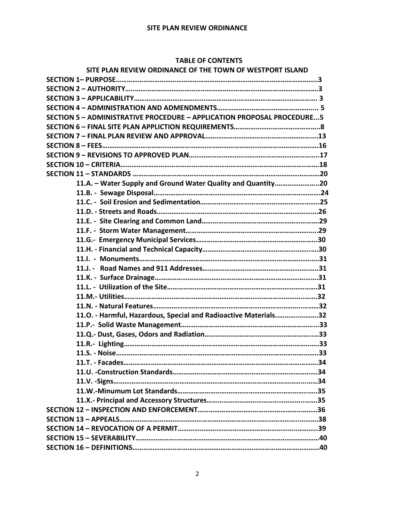#### **TABLE OF CONTENTS**

| SITE PLAN REVIEW ORDINANCE OF THE TOWN OF WESTPORT ISLAND                     |  |
|-------------------------------------------------------------------------------|--|
|                                                                               |  |
|                                                                               |  |
|                                                                               |  |
|                                                                               |  |
| <b>SECTION 5 - ADMINISTRATIVE PROCEDURE - APPLICATION PROPOSAL PROCEDURE5</b> |  |
|                                                                               |  |
|                                                                               |  |
|                                                                               |  |
|                                                                               |  |
|                                                                               |  |
|                                                                               |  |
| 11.A. - Water Supply and Ground Water Quality and Quantity20                  |  |
|                                                                               |  |
|                                                                               |  |
|                                                                               |  |
|                                                                               |  |
|                                                                               |  |
|                                                                               |  |
|                                                                               |  |
|                                                                               |  |
|                                                                               |  |
|                                                                               |  |
|                                                                               |  |
|                                                                               |  |
|                                                                               |  |
| 11.0. - Harmful, Hazardous, Special and Radioactive Materials32               |  |
|                                                                               |  |
|                                                                               |  |
|                                                                               |  |
|                                                                               |  |
|                                                                               |  |
|                                                                               |  |
|                                                                               |  |
|                                                                               |  |
|                                                                               |  |
|                                                                               |  |
|                                                                               |  |
|                                                                               |  |
|                                                                               |  |
|                                                                               |  |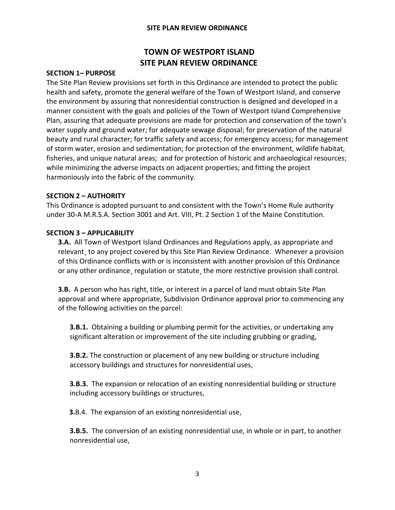## **TOWN OF WESTPORT ISLAND SITE PLAN REVIEW ORDINANCE**

#### **SECTION 1– PURPOSE**

The Site Plan Review provisions set forth in this Ordinance are intended to protect the public health and safety, promote the general welfare of the Town of Westport Island, and conserve the environment by assuring that nonresidential construction is designed and developed in a manner consistent with the goals and policies of the Town of Westport Island Comprehensive Plan, assuring that adequate provisions are made for protection and conservation of the town's water supply and ground water; for adequate sewage disposal; for preservation of the natural beauty and rural character; for traffic safety and access; for emergency access; for management of storm water, erosion and sedimentation; for protection of the environment, wildlife habitat, fisheries, and unique natural areas; and for protection of historic and archaeological resources; while minimizing the adverse impacts on adjacent properties; and fitting the project harmoniously into the fabric of the community.

#### **SECTION 2 – AUTHORITY**

This Ordinance is adopted pursuant to and consistent with the Town's Home Rule authority under 30-A M.R.S.A. Section 3001 and Art. VIII, Pt. 2 Section 1 of the Maine Constitution.

#### **SECTION 3 – APPLICABILITY**

**3.A.** All Town of Westport Island Ordinances and Regulations apply, as appropriate and relevant, to any project covered by this Site Plan Review Ordinance. Whenever a provision of this Ordinance conflicts with or is inconsistent with another provision of this Ordinance or any other ordinance¸ regulation or statute¸ the more restrictive provision shall control.

**3.B.** A person who has right, title, or interest in a parcel of land must obtain Site Plan approval and where appropriate, Subdivision Ordinance approval prior to commencing any of the following activities on the parcel:

**3.B.1.** Obtaining a building or plumbing permit for the activities, or undertaking any significant alteration or improvement of the site including grubbing or grading,

**3.B.2.** The construction or placement of any new building or structure including accessory buildings and structures for nonresidential uses,

**3.B.3.** The expansion or relocation of an existing nonresidential building or structure including accessory buildings or structures,

 **3.**B.4. The expansion of an existing nonresidential use,

**3.B.5.** The conversion of an existing nonresidential use, in whole or in part, to another nonresidential use,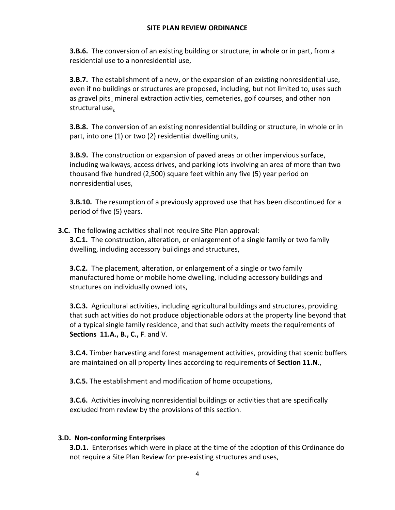**3.B.6.** The conversion of an existing building or structure, in whole or in part, from a residential use to a nonresidential use,

**3.B.7.** The establishment of a new, or the expansion of an existing nonresidential use, even if no buildings or structures are proposed, including, but not limited to, uses such as gravel pits¸ mineral extraction activities, cemeteries, golf courses, and other non structural use,

**3.B.8.** The conversion of an existing nonresidential building or structure, in whole or in part, into one (1) or two (2) residential dwelling units,

**3.B.9.** The construction or expansion of paved areas or other impervious surface, including walkways, access drives, and parking lots involving an area of more than two thousand five hundred (2,500) square feet within any five (5) year period on nonresidential uses,

**3.B.10.** The resumption of a previously approved use that has been discontinued for a period of five (5) years.

**3.C.** The following activities shall not require Site Plan approval: **3.C.1.** The construction, alteration, or enlargement of a single family or two family dwelling, including accessory buildings and structures,

**3.C.2.** The placement, alteration, or enlargement of a single or two family manufactured home or mobile home dwelling, including accessory buildings and structures on individually owned lots,

**3.C.3.** Agricultural activities, including agricultural buildings and structures, providing that such activities do not produce objectionable odors at the property line beyond that of a typical single family residence¸ and that such activity meets the requirements of **Sections 11.A., B., C., F**. and V.

**3.C.4.** Timber harvesting and forest management activities, providing that scenic buffers are maintained on all property lines according to requirements of **Section 11.N**.,

**3.C.5.** The establishment and modification of home occupations,

**3.C.6.** Activities involving nonresidential buildings or activities that are specifically excluded from review by the provisions of this section.

## **3.D. Non-conforming Enterprises**

**3.D.1.** Enterprises which were in place at the time of the adoption of this Ordinance do not require a Site Plan Review for pre-existing structures and uses,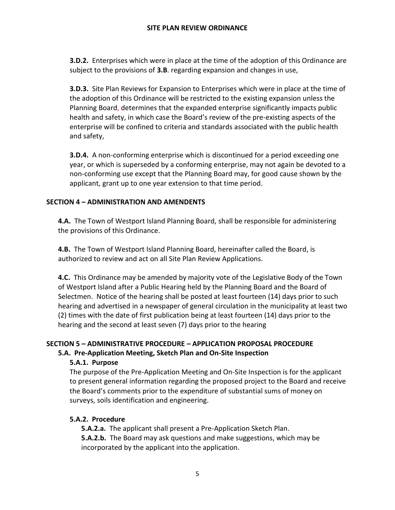**3.D.2.** Enterprises which were in place at the time of the adoption of this Ordinance are subject to the provisions of **3.B**. regarding expansion and changes in use,

**3.D.3.** Site Plan Reviews for Expansion to Enterprises which were in place at the time of the adoption of this Ordinance will be restricted to the existing expansion unless the Planning Board, determines that the expanded enterprise significantly impacts public health and safety, in which case the Board's review of the pre-existing aspects of the enterprise will be confined to criteria and standards associated with the public health and safety,

**3.D.4.** A non-conforming enterprise which is discontinued for a period exceeding one year, or which is superseded by a conforming enterprise, may not again be devoted to a non-conforming use except that the Planning Board may, for good cause shown by the applicant, grant up to one year extension to that time period.

## **SECTION 4 – ADMINISTRATION AND AMENDENTS**

**4.A.** The Town of Westport Island Planning Board, shall be responsible for administering the provisions of this Ordinance.

**4.B.** The Town of Westport Island Planning Board, hereinafter called the Board, is authorized to review and act on all Site Plan Review Applications.

**4.C.** This Ordinance may be amended by majority vote of the Legislative Body of the Town of Westport Island after a Public Hearing held by the Planning Board and the Board of Selectmen. Notice of the hearing shall be posted at least fourteen (14) days prior to such hearing and advertised in a newspaper of general circulation in the municipality at least two (2) times with the date of first publication being at least fourteen (14) days prior to the hearing and the second at least seven (7) days prior to the hearing

# **SECTION 5 – ADMINISTRATIVE PROCEDURE – APPLICATION PROPOSAL PROCEDURE**

## **5.A. Pre-Application Meeting, Sketch Plan and On-Site Inspection**

## **5.A.1. Purpose**

The purpose of the Pre-Application Meeting and On-Site Inspection is for the applicant to present general information regarding the proposed project to the Board and receive the Board's comments prior to the expenditure of substantial sums of money on surveys, soils identification and engineering.

## **5.A.2. Procedure**

**5.A.2.a.** The applicant shall present a Pre-Application Sketch Plan. **5.A.2.b.** The Board may ask questions and make suggestions, which may be incorporated by the applicant into the application.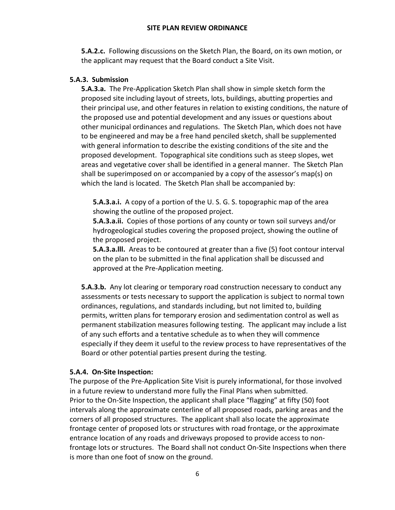**5.A.2.c.** Following discussions on the Sketch Plan, the Board, on its own motion, or the applicant may request that the Board conduct a Site Visit.

#### **5.A.3. Submission**

**5.A.3.a.** The Pre-Application Sketch Plan shall show in simple sketch form the proposed site including layout of streets, lots, buildings, abutting properties and their principal use, and other features in relation to existing conditions, the nature of the proposed use and potential development and any issues or questions about other municipal ordinances and regulations. The Sketch Plan, which does not have to be engineered and may be a free hand penciled sketch, shall be supplemented with general information to describe the existing conditions of the site and the proposed development. Topographical site conditions such as steep slopes, wet areas and vegetative cover shall be identified in a general manner. The Sketch Plan shall be superimposed on or accompanied by a copy of the assessor's map(s) on which the land is located. The Sketch Plan shall be accompanied by:

**5.A.3.a.i.** A copy of a portion of the U. S. G. S. topographic map of the area showing the outline of the proposed project.

**5.A.3.a.ii.** Copies of those portions of any county or town soil surveys and/or hydrogeological studies covering the proposed project, showing the outline of the proposed project.

**5.A.3.a.lll.** Areas to be contoured at greater than a five (5) foot contour interval on the plan to be submitted in the final application shall be discussed and approved at the Pre-Application meeting.

**5.A.3.b.** Any lot clearing or temporary road construction necessary to conduct any assessments or tests necessary to support the application is subject to normal town ordinances, regulations, and standards including, but not limited to, building permits, written plans for temporary erosion and sedimentation control as well as permanent stabilization measures following testing. The applicant may include a list of any such efforts and a tentative schedule as to when they will commence especially if they deem it useful to the review process to have representatives of the Board or other potential parties present during the testing.

#### **5.A.4. On-Site Inspection:**

The purpose of the Pre-Application Site Visit is purely informational, for those involved in a future review to understand more fully the Final Plans when submitted. Prior to the On-Site Inspection, the applicant shall place "flagging" at fifty (50) foot intervals along the approximate centerline of all proposed roads, parking areas and the corners of all proposed structures. The applicant shall also locate the approximate frontage center of proposed lots or structures with road frontage, or the approximate entrance location of any roads and driveways proposed to provide access to nonfrontage lots or structures. The Board shall not conduct On-Site Inspections when there is more than one foot of snow on the ground.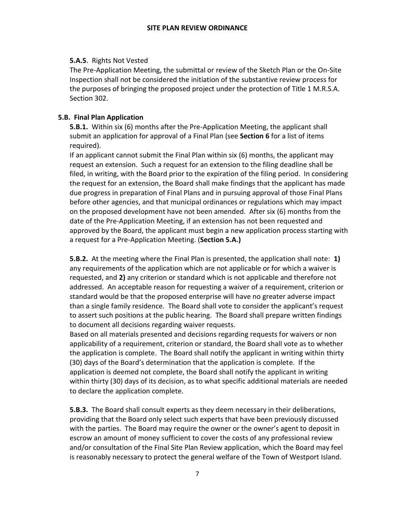## **5.A.5**. Rights Not Vested

The Pre-Application Meeting, the submittal or review of the Sketch Plan or the On-Site Inspection shall not be considered the initiation of the substantive review process for the purposes of bringing the proposed project under the protection of Title 1 M.R.S.A. Section 302.

## **5.B. Final Plan Application**

**5.B.1.** Within six (6) months after the Pre-Application Meeting, the applicant shall submit an application for approval of a Final Plan (see **Section 6** for a list of items required).

If an applicant cannot submit the Final Plan within six (6) months, the applicant may request an extension. Such a request for an extension to the filing deadline shall be filed, in writing, with the Board prior to the expiration of the filing period. In considering the request for an extension, the Board shall make findings that the applicant has made due progress in preparation of Final Plans and in pursuing approval of those Final Plans before other agencies, and that municipal ordinances or regulations which may impact on the proposed development have not been amended. After six (6) months from the date of the Pre-Application Meeting, if an extension has not been requested and approved by the Board, the applicant must begin a new application process starting with a request for a Pre-Application Meeting. (**Section 5.A.)**

**5.B.2.** At the meeting where the Final Plan is presented, the application shall note: **1)** any requirements of the application which are not applicable or for which a waiver is requested, and **2)** any criterion or standard which is not applicable and therefore not addressed. An acceptable reason for requesting a waiver of a requirement, criterion or standard would be that the proposed enterprise will have no greater adverse impact than a single family residence. The Board shall vote to consider the applicant's request to assert such positions at the public hearing. The Board shall prepare written findings to document all decisions regarding waiver requests.

Based on all materials presented and decisions regarding requests for waivers or non applicability of a requirement, criterion or standard, the Board shall vote as to whether the application is complete. The Board shall notify the applicant in writing within thirty (30) days of the Board's determination that the application is complete. If the application is deemed not complete, the Board shall notify the applicant in writing within thirty (30) days of its decision, as to what specific additional materials are needed to declare the application complete.

**5.B.3.** The Board shall consult experts as they deem necessary in their deliberations, providing that the Board only select such experts that have been previously discussed with the parties. The Board may require the owner or the owner's agent to deposit in escrow an amount of money sufficient to cover the costs of any professional review and/or consultation of the Final Site Plan Review application, which the Board may feel is reasonably necessary to protect the general welfare of the Town of Westport Island.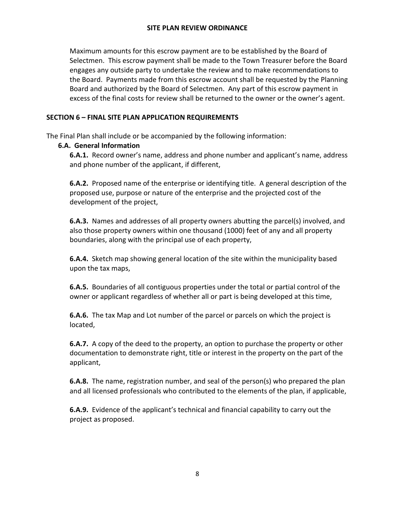Maximum amounts for this escrow payment are to be established by the Board of Selectmen. This escrow payment shall be made to the Town Treasurer before the Board engages any outside party to undertake the review and to make recommendations to the Board. Payments made from this escrow account shall be requested by the Planning Board and authorized by the Board of Selectmen. Any part of this escrow payment in excess of the final costs for review shall be returned to the owner or the owner's agent.

## **SECTION 6 – FINAL SITE PLAN APPLICATION REQUIREMENTS**

The Final Plan shall include or be accompanied by the following information:

## **6.A. General Information**

**6.A.1.** Record owner's name, address and phone number and applicant's name, address and phone number of the applicant, if different,

**6.A.2.** Proposed name of the enterprise or identifying title. A general description of the proposed use, purpose or nature of the enterprise and the projected cost of the development of the project,

**6.A.3.** Names and addresses of all property owners abutting the parcel(s) involved, and also those property owners within one thousand (1000) feet of any and all property boundaries, along with the principal use of each property,

**6.A.4.** Sketch map showing general location of the site within the municipality based upon the tax maps,

**6.A.5.** Boundaries of all contiguous properties under the total or partial control of the owner or applicant regardless of whether all or part is being developed at this time,

**6.A.6.** The tax Map and Lot number of the parcel or parcels on which the project is located,

**6.A.7.** A copy of the deed to the property, an option to purchase the property or other documentation to demonstrate right, title or interest in the property on the part of the applicant,

**6.A.8.** The name, registration number, and seal of the person(s) who prepared the plan and all licensed professionals who contributed to the elements of the plan, if applicable,

**6.A.9.** Evidence of the applicant's technical and financial capability to carry out the project as proposed.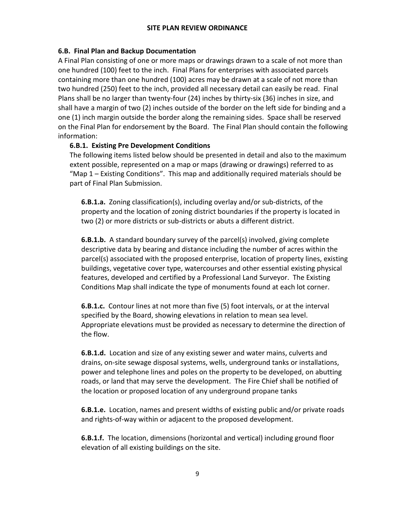## **6.B. Final Plan and Backup Documentation**

A Final Plan consisting of one or more maps or drawings drawn to a scale of not more than one hundred (100) feet to the inch. Final Plans for enterprises with associated parcels containing more than one hundred (100) acres may be drawn at a scale of not more than two hundred (250) feet to the inch, provided all necessary detail can easily be read. Final Plans shall be no larger than twenty-four (24) inches by thirty-six (36) inches in size, and shall have a margin of two (2) inches outside of the border on the left side for binding and a one (1) inch margin outside the border along the remaining sides. Space shall be reserved on the Final Plan for endorsement by the Board. The Final Plan should contain the following information:

## **6.B.1. Existing Pre Development Conditions**

The following items listed below should be presented in detail and also to the maximum extent possible, represented on a map or maps (drawing or drawings) referred to as "Map 1 – Existing Conditions". This map and additionally required materials should be part of Final Plan Submission.

**6.B.1.a.** Zoning classification(s), including overlay and/or sub-districts, of the property and the location of zoning district boundaries if the property is located in two (2) or more districts or sub-districts or abuts a different district.

**6.B.1.b.** A standard boundary survey of the parcel(s) involved, giving complete descriptive data by bearing and distance including the number of acres within the parcel(s) associated with the proposed enterprise, location of property lines, existing buildings, vegetative cover type, watercourses and other essential existing physical features, developed and certified by a Professional Land Surveyor. The Existing Conditions Map shall indicate the type of monuments found at each lot corner.

**6.B.1.c.** Contour lines at not more than five (5) foot intervals, or at the interval specified by the Board, showing elevations in relation to mean sea level. Appropriate elevations must be provided as necessary to determine the direction of the flow.

**6.B.1.d.** Location and size of any existing sewer and water mains, culverts and drains, on-site sewage disposal systems, wells, underground tanks or installations, power and telephone lines and poles on the property to be developed, on abutting roads, or land that may serve the development. The Fire Chief shall be notified of the location or proposed location of any underground propane tanks

**6.B.1.e.** Location, names and present widths of existing public and/or private roads and rights-of-way within or adjacent to the proposed development.

**6.B.1.f.** The location, dimensions (horizontal and vertical) including ground floor elevation of all existing buildings on the site.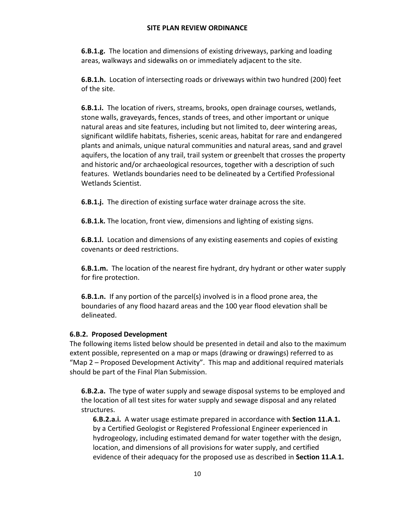**6.B.1.g.** The location and dimensions of existing driveways, parking and loading areas, walkways and sidewalks on or immediately adjacent to the site.

**6.B.1.h.** Location of intersecting roads or driveways within two hundred (200) feet of the site.

**6.B.1.i.** The location of rivers, streams, brooks, open drainage courses, wetlands, stone walls, graveyards, fences, stands of trees, and other important or unique natural areas and site features, including but not limited to, deer wintering areas, significant wildlife habitats, fisheries, scenic areas, habitat for rare and endangered plants and animals, unique natural communities and natural areas, sand and gravel aquifers, the location of any trail, trail system or greenbelt that crosses the property and historic and/or archaeological resources, together with a description of such features. Wetlands boundaries need to be delineated by a Certified Professional Wetlands Scientist.

**6.B.1.j.** The direction of existing surface water drainage across the site.

**6.B.1.k.** The location, front view, dimensions and lighting of existing signs.

**6.B.1.l.** Location and dimensions of any existing easements and copies of existing covenants or deed restrictions.

**6.B.1.m.** The location of the nearest fire hydrant, dry hydrant or other water supply for fire protection.

**6.B.1.n.** If any portion of the parcel(s) involved is in a flood prone area, the boundaries of any flood hazard areas and the 100 year flood elevation shall be delineated.

## **6.B.2. Proposed Development**

The following items listed below should be presented in detail and also to the maximum extent possible, represented on a map or maps (drawing or drawings) referred to as "Map 2 – Proposed Development Activity". This map and additional required materials should be part of the Final Plan Submission.

**6.B.2.a.** The type of water supply and sewage disposal systems to be employed and the location of all test sites for water supply and sewage disposal and any related structures.

**6.B.2.a.i.** A water usage estimate prepared in accordance with **Section 11.A**.**1.** by a Certified Geologist or Registered Professional Engineer experienced in hydrogeology, including estimated demand for water together with the design, location, and dimensions of all provisions for water supply, and certified evidence of their adequacy for the proposed use as described in **Section 11.A**.**1.**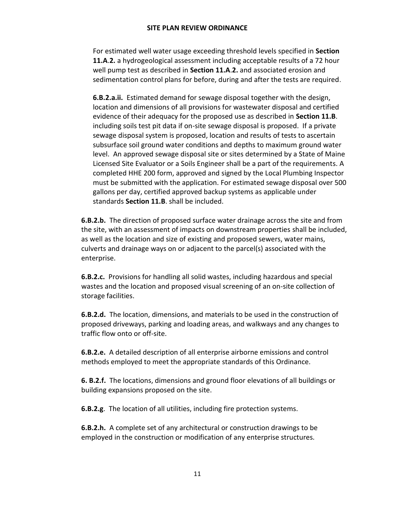For estimated well water usage exceeding threshold levels specified in **Section 11.A**.**2.** a hydrogeological assessment including acceptable results of a 72 hour well pump test as described in **Section 11.A**.**2.** and associated erosion and sedimentation control plans for before, during and after the tests are required.

**6.B.2.a.ii.** Estimated demand for sewage disposal together with the design, location and dimensions of all provisions for wastewater disposal and certified evidence of their adequacy for the proposed use as described in **Section 11.B**. including soils test pit data if on-site sewage disposal is proposed. If a private sewage disposal system is proposed, location and results of tests to ascertain subsurface soil ground water conditions and depths to maximum ground water level. An approved sewage disposal site or sites determined by a State of Maine Licensed Site Evaluator or a Soils Engineer shall be a part of the requirements. A completed HHE 200 form, approved and signed by the Local Plumbing Inspector must be submitted with the application. For estimated sewage disposal over 500 gallons per day, certified approved backup systems as applicable under standards **Section 11.B**. shall be included.

**6.B.2.b.** The direction of proposed surface water drainage across the site and from the site, with an assessment of impacts on downstream properties shall be included, as well as the location and size of existing and proposed sewers, water mains, culverts and drainage ways on or adjacent to the parcel(s) associated with the enterprise.

**6.B.2.c.** Provisions for handling all solid wastes, including hazardous and special wastes and the location and proposed visual screening of an on-site collection of storage facilities.

**6.B.2.d.** The location, dimensions, and materials to be used in the construction of proposed driveways, parking and loading areas, and walkways and any changes to traffic flow onto or off-site.

**6.B.2.e.** A detailed description of all enterprise airborne emissions and control methods employed to meet the appropriate standards of this Ordinance.

**6. B.2.f.** The locations, dimensions and ground floor elevations of all buildings or building expansions proposed on the site.

**6.B.2.g**. The location of all utilities, including fire protection systems.

**6.B.2.h.** A complete set of any architectural or construction drawings to be employed in the construction or modification of any enterprise structures.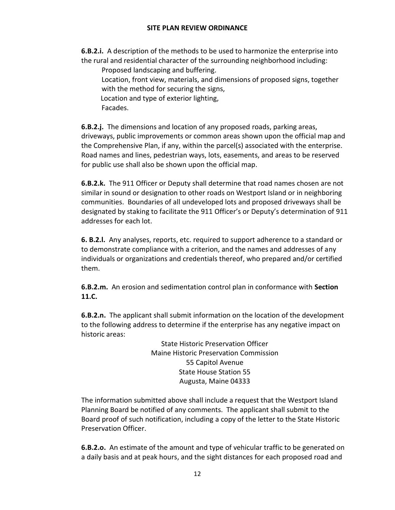**6.B.2.i.** A description of the methods to be used to harmonize the enterprise into the rural and residential character of the surrounding neighborhood including:

Proposed landscaping and buffering.

Location, front view, materials, and dimensions of proposed signs, together with the method for securing the signs,

Location and type of exterior lighting,

Facades.

**6.B.2.j.** The dimensions and location of any proposed roads, parking areas, driveways, public improvements or common areas shown upon the official map and the Comprehensive Plan, if any, within the parcel(s) associated with the enterprise. Road names and lines, pedestrian ways, lots, easements, and areas to be reserved for public use shall also be shown upon the official map.

**6.B.2.k.** The 911 Officer or Deputy shall determine that road names chosen are not similar in sound or designation to other roads on Westport Island or in neighboring communities. Boundaries of all undeveloped lots and proposed driveways shall be designated by staking to facilitate the 911 Officer's or Deputy's determination of 911 addresses for each lot.

**6. B.2.l.** Any analyses, reports, etc. required to support adherence to a standard or to demonstrate compliance with a criterion, and the names and addresses of any individuals or organizations and credentials thereof, who prepared and/or certified them.

**6.B.2.m.** An erosion and sedimentation control plan in conformance with **Section 11.C.**

**6.B.2.n.** The applicant shall submit information on the location of the development to the following address to determine if the enterprise has any negative impact on historic areas:

> State Historic Preservation Officer Maine Historic Preservation Commission 55 Capitol Avenue State House Station 55 Augusta, Maine 04333

The information submitted above shall include a request that the Westport Island Planning Board be notified of any comments. The applicant shall submit to the Board proof of such notification, including a copy of the letter to the State Historic Preservation Officer.

**6.B.2.o.** An estimate of the amount and type of vehicular traffic to be generated on a daily basis and at peak hours, and the sight distances for each proposed road and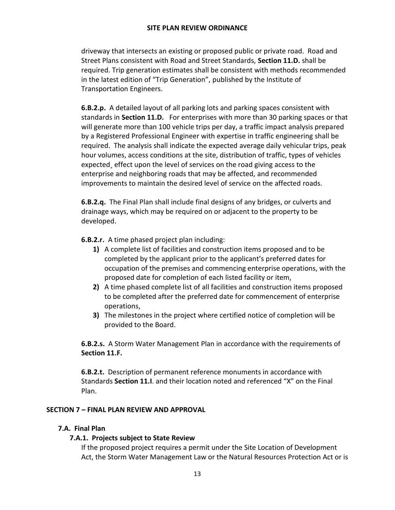driveway that intersects an existing or proposed public or private road. Road and Street Plans consistent with Road and Street Standards, **Section 11.D.** shall be required. Trip generation estimates shall be consistent with methods recommended in the latest edition of "Trip Generation", published by the Institute of Transportation Engineers.

**6.B.2.p.** A detailed layout of all parking lots and parking spaces consistent with standards in **Section 11.D.** For enterprises with more than 30 parking spaces or that will generate more than 100 vehicle trips per day, a traffic impact analysis prepared by a Registered Professional Engineer with expertise in traffic engineering shall be required. The analysis shall indicate the expected average daily vehicular trips, peak hour volumes, access conditions at the site, distribution of traffic, types of vehicles expected¸ effect upon the level of services on the road giving access to the enterprise and neighboring roads that may be affected, and recommended improvements to maintain the desired level of service on the affected roads.

**6.B.2.q.** The Final Plan shall include final designs of any bridges, or culverts and drainage ways, which may be required on or adjacent to the property to be developed.

**6.B.2.r.** A time phased project plan including:

- **1)** A complete list of facilities and construction items proposed and to be completed by the applicant prior to the applicant's preferred dates for occupation of the premises and commencing enterprise operations, with the proposed date for completion of each listed facility or item,
- **2)** A time phased complete list of all facilities and construction items proposed to be completed after the preferred date for commencement of enterprise operations,
- **3)** The milestones in the project where certified notice of completion will be provided to the Board.

**6.B.2.s.** A Storm Water Management Plan in accordance with the requirements of **Section 11.F.**

**6.B.2.t.** Description of permanent reference monuments in accordance with Standards **Section 11.I**. and their location noted and referenced "X" on the Final Plan.

## **SECTION 7 – FINAL PLAN REVIEW AND APPROVAL**

## **7.A. Final Plan**

## **7.A.1. Projects subject to State Review**

If the proposed project requires a permit under the Site Location of Development Act, the Storm Water Management Law or the Natural Resources Protection Act or is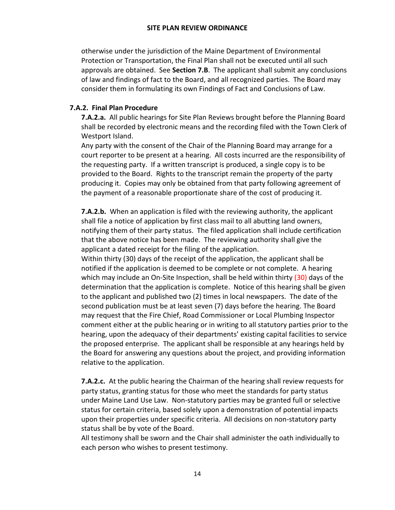otherwise under the jurisdiction of the Maine Department of Environmental Protection or Transportation, the Final Plan shall not be executed until all such approvals are obtained. See **Section 7.B**. The applicant shall submit any conclusions of law and findings of fact to the Board, and all recognized parties. The Board may consider them in formulating its own Findings of Fact and Conclusions of Law.

### **7.A.2. Final Plan Procedure**

**7.A.2.a.** All public hearings for Site Plan Reviews brought before the Planning Board shall be recorded by electronic means and the recording filed with the Town Clerk of Westport Island.

Any party with the consent of the Chair of the Planning Board may arrange for a court reporter to be present at a hearing. All costs incurred are the responsibility of the requesting party. If a written transcript is produced, a single copy is to be provided to the Board. Rights to the transcript remain the property of the party producing it. Copies may only be obtained from that party following agreement of the payment of a reasonable proportionate share of the cost of producing it.

**7.A.2.b.** When an application is filed with the reviewing authority, the applicant shall file a notice of application by first class mail to all abutting land owners, notifying them of their party status. The filed application shall include certification that the above notice has been made. The reviewing authority shall give the applicant a dated receipt for the filing of the application.

Within thirty (30) days of the receipt of the application, the applicant shall be notified if the application is deemed to be complete or not complete. A hearing which may include an On-Site Inspection, shall be held within thirty (30) days of the determination that the application is complete. Notice of this hearing shall be given to the applicant and published two (2) times in local newspapers. The date of the second publication must be at least seven (7) days before the hearing. The Board may request that the Fire Chief, Road Commissioner or Local Plumbing Inspector comment either at the public hearing or in writing to all statutory parties prior to the hearing, upon the adequacy of their departments' existing capital facilities to service the proposed enterprise. The applicant shall be responsible at any hearings held by the Board for answering any questions about the project, and providing information relative to the application.

**7.A.2.c.** At the public hearing the Chairman of the hearing shall review requests for party status, granting status for those who meet the standards for party status under Maine Land Use Law. Non-statutory parties may be granted full or selective status for certain criteria, based solely upon a demonstration of potential impacts upon their properties under specific criteria. All decisions on non-statutory party status shall be by vote of the Board.

All testimony shall be sworn and the Chair shall administer the oath individually to each person who wishes to present testimony.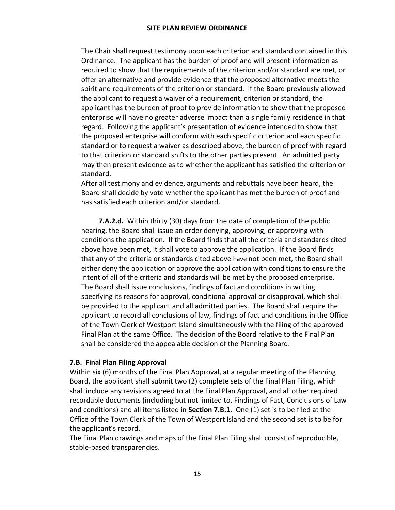The Chair shall request testimony upon each criterion and standard contained in this Ordinance. The applicant has the burden of proof and will present information as required to show that the requirements of the criterion and/or standard are met, or offer an alternative and provide evidence that the proposed alternative meets the spirit and requirements of the criterion or standard. If the Board previously allowed the applicant to request a waiver of a requirement, criterion or standard, the applicant has the burden of proof to provide information to show that the proposed enterprise will have no greater adverse impact than a single family residence in that regard. Following the applicant's presentation of evidence intended to show that the proposed enterprise will conform with each specific criterion and each specific standard or to request a waiver as described above, the burden of proof with regard to that criterion or standard shifts to the other parties present. An admitted party may then present evidence as to whether the applicant has satisfied the criterion or standard.

After all testimony and evidence, arguments and rebuttals have been heard, the Board shall decide by vote whether the applicant has met the burden of proof and has satisfied each criterion and/or standard.

**7.A.2.d.** Within thirty (30) days from the date of completion of the public hearing, the Board shall issue an order denying, approving, or approving with conditions the application. If the Board finds that all the criteria and standards cited above have been met, it shall vote to approve the application. If the Board finds that any of the criteria or standards cited above have not been met, the Board shall either deny the application or approve the application with conditions to ensure the intent of all of the criteria and standards will be met by the proposed enterprise. The Board shall issue conclusions, findings of fact and conditions in writing specifying its reasons for approval, conditional approval or disapproval, which shall be provided to the applicant and all admitted parties. The Board shall require the applicant to record all conclusions of law, findings of fact and conditions in the Office of the Town Clerk of Westport Island simultaneously with the filing of the approved Final Plan at the same Office. The decision of the Board relative to the Final Plan shall be considered the appealable decision of the Planning Board.

#### **7.B. Final Plan Filing Approval**

Within six (6) months of the Final Plan Approval, at a regular meeting of the Planning Board, the applicant shall submit two (2) complete sets of the Final Plan Filing, which shall include any revisions agreed to at the Final Plan Approval, and all other required recordable documents (including but not limited to, Findings of Fact, Conclusions of Law and conditions) and all items listed in **Section 7.B.1.** One (1) set is to be filed at the Office of the Town Clerk of the Town of Westport Island and the second set is to be for the applicant's record.

The Final Plan drawings and maps of the Final Plan Filing shall consist of reproducible, stable-based transparencies.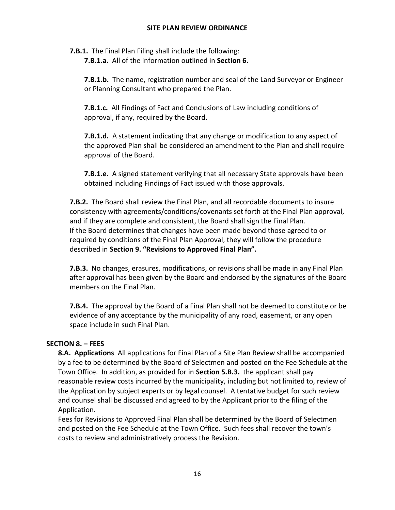**7.B.1.** The Final Plan Filing shall include the following:

**7.B.1.a.** All of the information outlined in **Section 6.**

**7.B.1.b.** The name, registration number and seal of the Land Surveyor or Engineer or Planning Consultant who prepared the Plan.

**7.B.1.c.** All Findings of Fact and Conclusions of Law including conditions of approval, if any, required by the Board.

**7.B.1.d.** A statement indicating that any change or modification to any aspect of the approved Plan shall be considered an amendment to the Plan and shall require approval of the Board.

**7.B.1.e.** A signed statement verifying that all necessary State approvals have been obtained including Findings of Fact issued with those approvals.

**7.B.2.** The Board shall review the Final Plan, and all recordable documents to insure consistency with agreements/conditions/covenants set forth at the Final Plan approval, and if they are complete and consistent, the Board shall sign the Final Plan. If the Board determines that changes have been made beyond those agreed to or required by conditions of the Final Plan Approval, they will follow the procedure described in **Section 9. "Revisions to Approved Final Plan".**

**7.B.3.** No changes, erasures, modifications, or revisions shall be made in any Final Plan after approval has been given by the Board and endorsed by the signatures of the Board members on the Final Plan.

**7.B.4.** The approval by the Board of a Final Plan shall not be deemed to constitute or be evidence of any acceptance by the municipality of any road, easement, or any open space include in such Final Plan.

## **SECTION 8. – FEES**

**8.A. Applications** All applications for Final Plan of a Site Plan Review shall be accompanied by a fee to be determined by the Board of Selectmen and posted on the Fee Schedule at the Town Office. In addition, as provided for in **Section 5.B.3.** the applicant shall pay reasonable review costs incurred by the municipality, including but not limited to, review of the Application by subject experts or by legal counsel. A tentative budget for such review and counsel shall be discussed and agreed to by the Applicant prior to the filing of the Application.

Fees for Revisions to Approved Final Plan shall be determined by the Board of Selectmen and posted on the Fee Schedule at the Town Office. Such fees shall recover the town's costs to review and administratively process the Revision.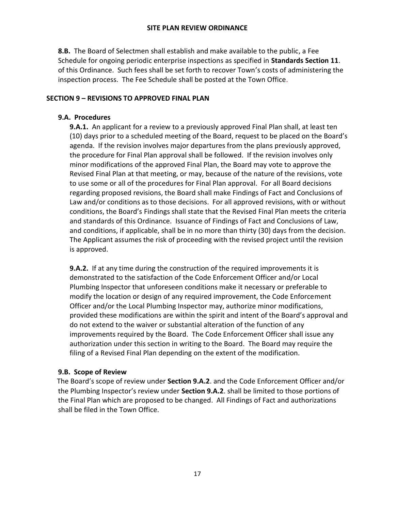**8.B.** The Board of Selectmen shall establish and make available to the public, a Fee Schedule for ongoing periodic enterprise inspections as specified in **Standards Section 11**. of this Ordinance. Such fees shall be set forth to recover Town's costs of administering the inspection process. The Fee Schedule shall be posted at the Town Office.

## **SECTION 9 – REVISIONS TO APPROVED FINAL PLAN**

## **9.A. Procedures**

**9.A.1.** An applicant for a review to a previously approved Final Plan shall, at least ten (10) days prior to a scheduled meeting of the Board, request to be placed on the Board's agenda. If the revision involves major departures from the plans previously approved, the procedure for Final Plan approval shall be followed. If the revision involves only minor modifications of the approved Final Plan, the Board may vote to approve the Revised Final Plan at that meeting, or may, because of the nature of the revisions, vote to use some or all of the procedures for Final Plan approval. For all Board decisions regarding proposed revisions, the Board shall make Findings of Fact and Conclusions of Law and/or conditions as to those decisions. For all approved revisions, with or without conditions, the Board's Findings shall state that the Revised Final Plan meets the criteria and standards of this Ordinance. Issuance of Findings of Fact and Conclusions of Law, and conditions, if applicable, shall be in no more than thirty (30) days from the decision. The Applicant assumes the risk of proceeding with the revised project until the revision is approved.

**9.A.2.** If at any time during the construction of the required improvements it is demonstrated to the satisfaction of the Code Enforcement Officer and/or Local Plumbing Inspector that unforeseen conditions make it necessary or preferable to modify the location or design of any required improvement, the Code Enforcement Officer and/or the Local Plumbing Inspector may, authorize minor modifications, provided these modifications are within the spirit and intent of the Board's approval and do not extend to the waiver or substantial alteration of the function of any improvements required by the Board. The Code Enforcement Officer shall issue any authorization under this section in writing to the Board. The Board may require the filing of a Revised Final Plan depending on the extent of the modification.

## **9.B. Scope of Review**

 The Board's scope of review under **Section 9.A.2**. and the Code Enforcement Officer and/or the Plumbing Inspector's review under **Section 9.A.2**. shall be limited to those portions of the Final Plan which are proposed to be changed. All Findings of Fact and authorizations shall be filed in the Town Office.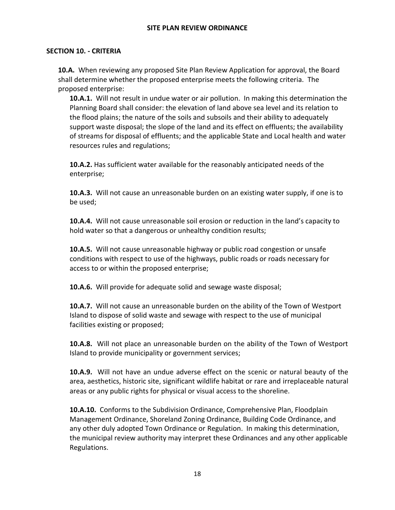#### **SECTION 10. - CRITERIA**

**10.A.** When reviewing any proposed Site Plan Review Application for approval, the Board shall determine whether the proposed enterprise meets the following criteria. The proposed enterprise:

**10.A.1.** Will not result in undue water or air pollution. In making this determination the Planning Board shall consider: the elevation of land above sea level and its relation to the flood plains; the nature of the soils and subsoils and their ability to adequately support waste disposal; the slope of the land and its effect on effluents; the availability of streams for disposal of effluents; and the applicable State and Local health and water resources rules and regulations;

**10.A.2.** Has sufficient water available for the reasonably anticipated needs of the enterprise;

**10.A.3.** Will not cause an unreasonable burden on an existing water supply, if one is to be used;

**10.A.4.** Will not cause unreasonable soil erosion or reduction in the land's capacity to hold water so that a dangerous or unhealthy condition results;

**10.A.5.** Will not cause unreasonable highway or public road congestion or unsafe conditions with respect to use of the highways, public roads or roads necessary for access to or within the proposed enterprise;

**10.A.6.** Will provide for adequate solid and sewage waste disposal;

**10.A.7.** Will not cause an unreasonable burden on the ability of the Town of Westport Island to dispose of solid waste and sewage with respect to the use of municipal facilities existing or proposed;

**10.A.8.** Will not place an unreasonable burden on the ability of the Town of Westport Island to provide municipality or government services;

**10.A.9.** Will not have an undue adverse effect on the scenic or natural beauty of the area, aesthetics, historic site, significant wildlife habitat or rare and irreplaceable natural areas or any public rights for physical or visual access to the shoreline.

**10.A.10.** Conforms to the Subdivision Ordinance, Comprehensive Plan, Floodplain Management Ordinance, Shoreland Zoning Ordinance, Building Code Ordinance, and any other duly adopted Town Ordinance or Regulation. In making this determination, the municipal review authority may interpret these Ordinances and any other applicable Regulations.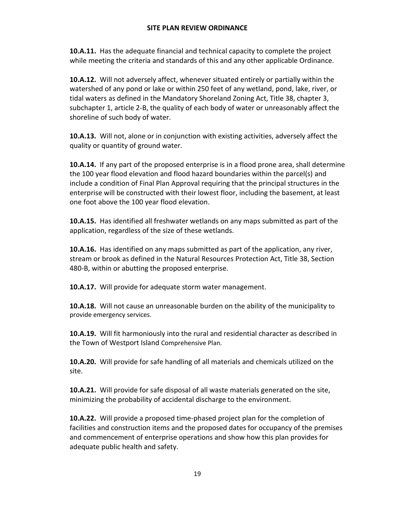**10.A.11.** Has the adequate financial and technical capacity to complete the project while meeting the criteria and standards of this and any other applicable Ordinance.

**10.A.12.** Will not adversely affect, whenever situated entirely or partially within the watershed of any pond or lake or within 250 feet of any wetland, pond, lake, river, or tidal waters as defined in the Mandatory Shoreland Zoning Act, Title 38, chapter 3, subchapter 1, article 2-B, the quality of each body of water or unreasonably affect the shoreline of such body of water.

**10.A.13.** Will not, alone or in conjunction with existing activities, adversely affect the quality or quantity of ground water.

**10.A.14.** If any part of the proposed enterprise is in a flood prone area, shall determine the 100 year flood elevation and flood hazard boundaries within the parcel(s) and include a condition of Final Plan Approval requiring that the principal structures in the enterprise will be constructed with their lowest floor, including the basement, at least one foot above the 100 year flood elevation.

**10.A.15.** Has identified all freshwater wetlands on any maps submitted as part of the application, regardless of the size of these wetlands.

**10.A.16.** Has identified on any maps submitted as part of the application, any river, stream or brook as defined in the Natural Resources Protection Act, Title 38, Section 480-B, within or abutting the proposed enterprise.

**10.A.17.** Will provide for adequate storm water management.

**10.A.18.** Will not cause an unreasonable burden on the ability of the municipality to provide emergency services.

**10.A.19.** Will fit harmoniously into the rural and residential character as described in the Town of Westport Island Comprehensive Plan.

**10.A.20.** Will provide for safe handling of all materials and chemicals utilized on the site.

**10.A.21.** Will provide for safe disposal of all waste materials generated on the site, minimizing the probability of accidental discharge to the environment.

**10.A.22.** Will provide a proposed time-phased project plan for the completion of facilities and construction items and the proposed dates for occupancy of the premises and commencement of enterprise operations and show how this plan provides for adequate public health and safety.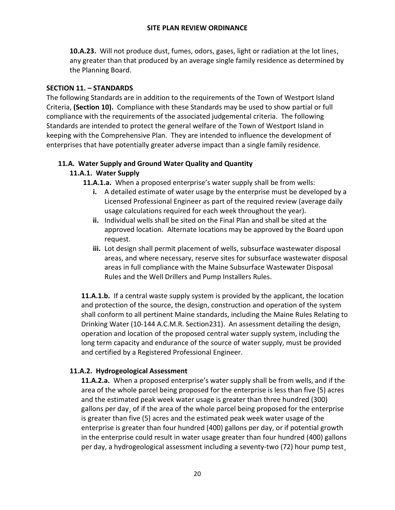**10.A.23.** Will not produce dust, fumes, odors, gases, light or radiation at the lot lines, any greater than that produced by an average single family residence as determined by the Planning Board.

### **SECTION 11. – STANDARDS**

The following Standards are in addition to the requirements of the Town of Westport Island Criteria, **(Section 10).** Compliance with these Standards may be used to show partial or full compliance with the requirements of the associated judgemental criteria. The following Standards are intended to protect the general welfare of the Town of Westport Island in keeping with the Comprehensive Plan. They are intended to influence the development of enterprises that have potentially greater adverse impact than a single family residence.

### **11.A. Water Supply and Ground Water Quality and Quantity**

### **11.A.1. Water Supply**

**11.A.1.a.** When a proposed enterprise's water supply shall be from wells:

- **i.** A detailed estimate of water usage by the enterprise must be developed by a Licensed Professional Engineer as part of the required review (average daily usage calculations required for each week throughout the year).
- **ii.** Individual wells shall be sited on the Final Plan and shall be sited at the approved location. Alternate locations may be approved by the Board upon request.
- **iii.** Lot design shall permit placement of wells, subsurface wastewater disposal areas, and where necessary, reserve sites for subsurface wastewater disposal areas in full compliance with the Maine Subsurface Wastewater Disposal Rules and the Well Drillers and Pump Installers Rules.

**11.A.1.b.** If a central waste supply system is provided by the applicant, the location and protection of the source, the design, construction and operation of the system shall conform to all pertinent Maine standards, including the Maine Rules Relating to Drinking Water (10-144 A.C.M.R. Section231). An assessment detailing the design, operation and location of the proposed central water supply system, including the long term capacity and endurance of the source of water supply, must be provided and certified by a Registered Professional Engineer.

## **11.A.2. Hydrogeological Assessment**

**11.A.2.a.** When a proposed enterprise's water supply shall be from wells, and if the area of the whole parcel being proposed for the enterprise is less than five (5) acres and the estimated peak week water usage is greater than three hundred (300) gallons per day¸ of if the area of the whole parcel being proposed for the enterprise is greater than five (5) acres and the estimated peak week water usage of the enterprise is greater than four hundred (400) gallons per day, or if potential growth in the enterprise could result in water usage greater than four hundred (400) gallons per day, a hydrogeological assessment including a seventy-two (72) hour pump test¸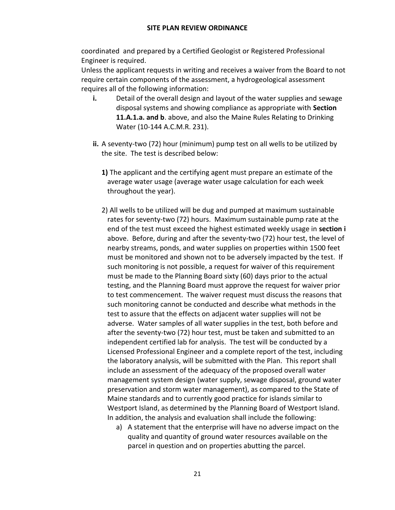coordinated and prepared by a Certified Geologist or Registered Professional Engineer is required.

Unless the applicant requests in writing and receives a waiver from the Board to not require certain components of the assessment, a hydrogeological assessment requires all of the following information:

- **i.** Detail of the overall design and layout of the water supplies and sewage disposal systems and showing compliance as appropriate with **Section 11.A.1.a. and b**. above, and also the Maine Rules Relating to Drinking Water (10-144 A.C.M.R. 231).
- **ii.** A seventy-two (72) hour (minimum) pump test on all wells to be utilized by the site. The test is described below:
	- **1)** The applicant and the certifying agent must prepare an estimate of the average water usage (average water usage calculation for each week throughout the year).
	- 2) All wells to be utilized will be dug and pumped at maximum sustainable rates for seventy-two (72) hours. Maximum sustainable pump rate at the end of the test must exceed the highest estimated weekly usage in **section i** above. Before, during and after the seventy-two (72) hour test, the level of nearby streams, ponds, and water supplies on properties within 1500 feet must be monitored and shown not to be adversely impacted by the test. If such monitoring is not possible, a request for waiver of this requirement must be made to the Planning Board sixty (60) days prior to the actual testing, and the Planning Board must approve the request for waiver prior to test commencement. The waiver request must discuss the reasons that such monitoring cannot be conducted and describe what methods in the test to assure that the effects on adjacent water supplies will not be adverse. Water samples of all water supplies in the test, both before and after the seventy-two (72) hour test, must be taken and submitted to an independent certified lab for analysis. The test will be conducted by a Licensed Professional Engineer and a complete report of the test, including the laboratory analysis, will be submitted with the Plan. This report shall include an assessment of the adequacy of the proposed overall water management system design (water supply, sewage disposal, ground water preservation and storm water management), as compared to the State of Maine standards and to currently good practice for islands similar to Westport Island, as determined by the Planning Board of Westport Island. In addition, the analysis and evaluation shall include the following:
		- a) A statement that the enterprise will have no adverse impact on the quality and quantity of ground water resources available on the parcel in question and on properties abutting the parcel.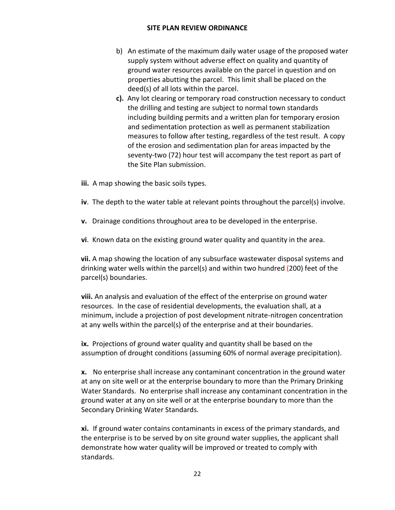- b) An estimate of the maximum daily water usage of the proposed water supply system without adverse effect on quality and quantity of ground water resources available on the parcel in question and on properties abutting the parcel. This limit shall be placed on the deed(s) of all lots within the parcel.
- **c).** Any lot clearing or temporary road construction necessary to conduct the drilling and testing are subject to normal town standards including building permits and a written plan for temporary erosion and sedimentation protection as well as permanent stabilization measures to follow after testing, regardless of the test result. A copy of the erosion and sedimentation plan for areas impacted by the seventy-two (72) hour test will accompany the test report as part of the Site Plan submission.
- **iii.** A map showing the basic soils types.
- **iv**. The depth to the water table at relevant points throughout the parcel(s) involve.
- **v.** Drainage conditions throughout area to be developed in the enterprise.
- **vi**. Known data on the existing ground water quality and quantity in the area.

**vii.** A map showing the location of any subsurface wastewater disposal systems and drinking water wells within the parcel(s) and within two hundred (200) feet of the parcel(s) boundaries.

**viii.** An analysis and evaluation of the effect of the enterprise on ground water resources. In the case of residential developments, the evaluation shall, at a minimum, include a projection of post development nitrate-nitrogen concentration at any wells within the parcel(s) of the enterprise and at their boundaries.

**ix.** Projections of ground water quality and quantity shall be based on the assumption of drought conditions (assuming 60% of normal average precipitation).

**x.** No enterprise shall increase any contaminant concentration in the ground water at any on site well or at the enterprise boundary to more than the Primary Drinking Water Standards. No enterprise shall increase any contaminant concentration in the ground water at any on site well or at the enterprise boundary to more than the Secondary Drinking Water Standards.

**xi.** If ground water contains contaminants in excess of the primary standards, and the enterprise is to be served by on site ground water supplies, the applicant shall demonstrate how water quality will be improved or treated to comply with standards.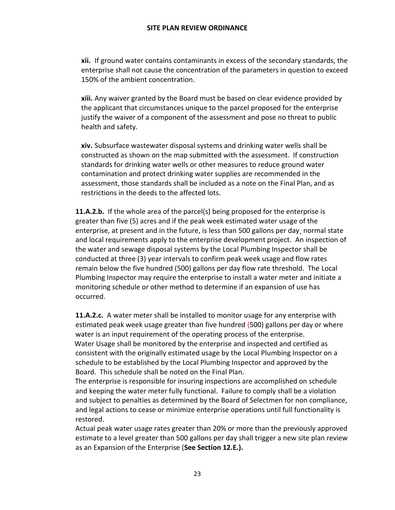**xii.** If ground water contains contaminants in excess of the secondary standards, the enterprise shall not cause the concentration of the parameters in question to exceed 150% of the ambient concentration.

**xiii.** Any waiver granted by the Board must be based on clear evidence provided by the applicant that circumstances unique to the parcel proposed for the enterprise justify the waiver of a component of the assessment and pose no threat to public health and safety.

**xiv.** Subsurface wastewater disposal systems and drinking water wells shall be constructed as shown on the map submitted with the assessment. If construction standards for drinking water wells or other measures to reduce ground water contamination and protect drinking water supplies are recommended in the assessment, those standards shall be included as a note on the Final Plan, and as restrictions in the deeds to the affected lots.

**11.A.2.b.** If the whole area of the parcel(s) being proposed for the enterprise is greater than five (5) acres and if the peak week estimated water usage of the enterprise, at present and in the future, is less than 500 gallons per day¸ normal state and local requirements apply to the enterprise development project. An inspection of the water and sewage disposal systems by the Local Plumbing Inspector shall be conducted at three (3) year intervals to confirm peak week usage and flow rates remain below the five hundred (500) gallons per day flow rate threshold. The Local Plumbing Inspector may require the enterprise to install a water meter and initiate a monitoring schedule or other method to determine if an expansion of use has occurred.

**11.A.2.c.** A water meter shall be installed to monitor usage for any enterprise with estimated peak week usage greater than five hundred (500) gallons per day or where water is an input requirement of the operating process of the enterprise. Water Usage shall be monitored by the enterprise and inspected and certified as consistent with the originally estimated usage by the Local Plumbing Inspector on a schedule to be established by the Local Plumbing Inspector and approved by the Board. This schedule shall be noted on the Final Plan.

 The enterprise is responsible for insuring inspections are accomplished on schedule and keeping the water meter fully functional. Failure to comply shall be a violation and subject to penalties as determined by the Board of Selectmen for non compliance, and legal actions to cease or minimize enterprise operations until full functionality is restored.

Actual peak water usage rates greater than 20% or more than the previously approved estimate to a level greater than 500 gallons per day shall trigger a new site plan review as an Expansion of the Enterprise (**See Section 12.E.).**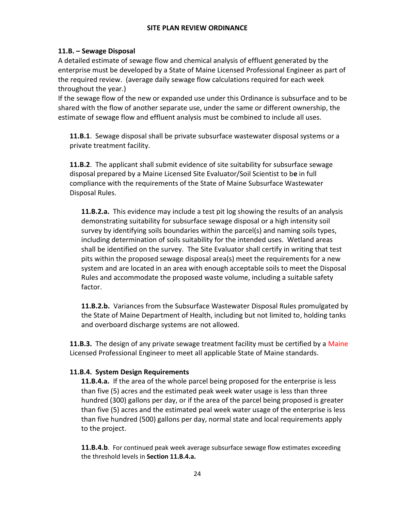## **11.B. – Sewage Disposal**

A detailed estimate of sewage flow and chemical analysis of effluent generated by the enterprise must be developed by a State of Maine Licensed Professional Engineer as part of the required review. (average daily sewage flow calculations required for each week throughout the year.)

If the sewage flow of the new or expanded use under this Ordinance is subsurface and to be shared with the flow of another separate use, under the same or different ownership, the estimate of sewage flow and effluent analysis must be combined to include all uses.

**11.B.1**. Sewage disposal shall be private subsurface wastewater disposal systems or a private treatment facility.

**11.B.2**. The applicant shall submit evidence of site suitability for subsurface sewage disposal prepared by a Maine Licensed Site Evaluator/Soil Scientist to b**e** in full compliance with the requirements of the State of Maine Subsurface Wastewater Disposal Rules.

**11.B.2.a.** This evidence may include a test pit log showing the results of an analysis demonstrating suitability for subsurface sewage disposal or a high intensity soil survey by identifying soils boundaries within the parcel(s) and naming soils types, including determination of soils suitability for the intended uses. Wetland areas shall be identified on the survey. The Site Evaluator shall certify in writing that test pits within the proposed sewage disposal area(s) meet the requirements for a new system and are located in an area with enough acceptable soils to meet the Disposal Rules and accommodate the proposed waste volume, including a suitable safety factor.

**11.B.2.b.** Variances from the Subsurface Wastewater Disposal Rules promulgated by the State of Maine Department of Health, including but not limited to, holding tanks and overboard discharge systems are not allowed.

**11.B.3.** The design of any private sewage treatment facility must be certified by a Maine Licensed Professional Engineer to meet all applicable State of Maine standards.

## **11.B.4. System Design Requirements**

**11.B.4.a.** If the area of the whole parcel being proposed for the enterprise is less than five (5) acres and the estimated peak week water usage is less than three hundred (300) gallons per day, or if the area of the parcel being proposed is greater than five (5) acres and the estimated peal week water usage of the enterprise is less than five hundred (500) gallons per day, normal state and local requirements apply to the project.

**11.B.4.b**. For continued peak week average subsurface sewage flow estimates exceeding the threshold levels in **Section 11.B.4.a.**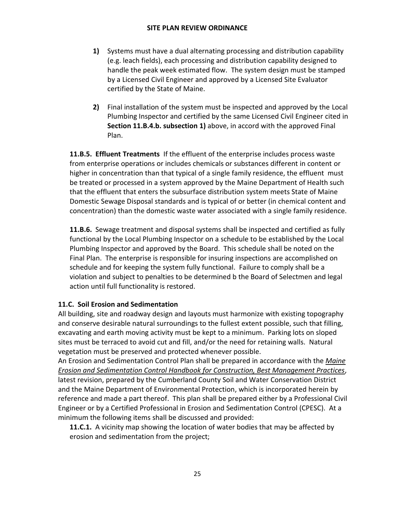- **1)** Systems must have a dual alternating processing and distribution capability (e.g. leach fields), each processing and distribution capability designed to handle the peak week estimated flow. The system design must be stamped by a Licensed Civil Engineer and approved by a Licensed Site Evaluator certified by the State of Maine.
- **2)** Final installation of the system must be inspected and approved by the Local Plumbing Inspector and certified by the same Licensed Civil Engineer cited in **Section 11.B.4.b. subsection 1)** above, in accord with the approved Final Plan.

**11.B.5. Effluent Treatments** If the effluent of the enterprise includes process waste from enterprise operations or includes chemicals or substances different in content or higher in concentration than that typical of a single family residence, the effluent must be treated or processed in a system approved by the Maine Department of Health such that the effluent that enters the subsurface distribution system meets State of Maine Domestic Sewage Disposal standards and is typical of or better (in chemical content and concentration) than the domestic waste water associated with a single family residence.

**11.B.6.** Sewage treatment and disposal systems shall be inspected and certified as fully functional by the Local Plumbing Inspector on a schedule to be established by the Local Plumbing Inspector and approved by the Board. This schedule shall be noted on the Final Plan. The enterprise is responsible for insuring inspections are accomplished on schedule and for keeping the system fully functional. Failure to comply shall be a violation and subject to penalties to be determined b the Board of Selectmen and legal action until full functionality is restored.

## **11.C. Soil Erosion and Sedimentation**

All building, site and roadway design and layouts must harmonize with existing topography and conserve desirable natural surroundings to the fullest extent possible, such that filling, excavating and earth moving activity must be kept to a minimum. Parking lots on sloped sites must be terraced to avoid cut and fill, and/or the need for retaining walls. Natural vegetation must be preserved and protected whenever possible.

An Erosion and Sedimentation Control Plan shall be prepared in accordance with the *Maine Erosion and Sedimentation Control Handbook for Construction, Best Management Practices*, latest revision, prepared by the Cumberland County Soil and Water Conservation District and the Maine Department of Environmental Protection, which is incorporated herein by reference and made a part thereof. This plan shall be prepared either by a Professional Civil Engineer or by a Certified Professional in Erosion and Sedimentation Control (CPESC). At a minimum the following items shall be discussed and provided:

**11.C.1.** A vicinity map showing the location of water bodies that may be affected by erosion and sedimentation from the project;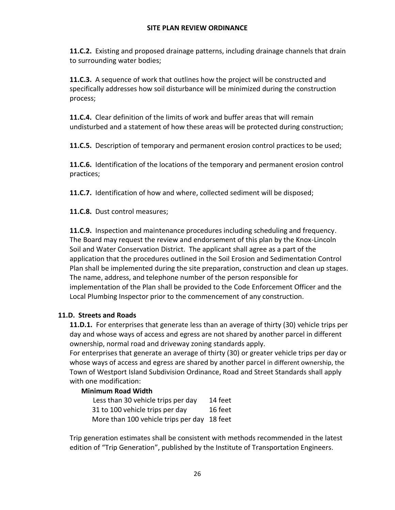**11.C.2.** Existing and proposed drainage patterns, including drainage channels that drain to surrounding water bodies;

**11.C.3.** A sequence of work that outlines how the project will be constructed and specifically addresses how soil disturbance will be minimized during the construction process;

**11.C.4.** Clear definition of the limits of work and buffer areas that will remain undisturbed and a statement of how these areas will be protected during construction;

**11.C.5.** Description of temporary and permanent erosion control practices to be used;

**11.C.6.** Identification of the locations of the temporary and permanent erosion control practices;

**11.C.7.** Identification of how and where, collected sediment will be disposed;

**11.C.8.** Dust control measures;

**11.C.9.** Inspection and maintenance procedures including scheduling and frequency. The Board may request the review and endorsement of this plan by the Knox-Lincoln Soil and Water Conservation District. The applicant shall agree as a part of the application that the procedures outlined in the Soil Erosion and Sedimentation Control Plan shall be implemented during the site preparation, construction and clean up stages. The name, address, and telephone number of the person responsible for implementation of the Plan shall be provided to the Code Enforcement Officer and the Local Plumbing Inspector prior to the commencement of any construction.

## **11.D. Streets and Roads**

**11.D.1.** For enterprises that generate less than an average of thirty (30) vehicle trips per day and whose ways of access and egress are not shared by another parcel in different ownership, normal road and driveway zoning standards apply.

For enterprises that generate an average of thirty (30) or greater vehicle trips per day or whose ways of access and egress are shared by another parcel in different ownership, the Town of Westport Island Subdivision Ordinance, Road and Street Standards shall apply with one modification:

## **Minimum Road Width**

Less than 30 vehicle trips per day 14 feet 31 to 100 vehicle trips per day 16 feet More than 100 vehicle trips per day 18 feet

Trip generation estimates shall be consistent with methods recommended in the latest edition of "Trip Generation", published by the Institute of Transportation Engineers.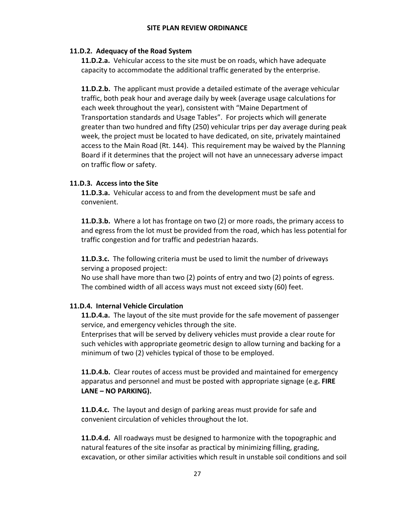### **11.D.2. Adequacy of the Road System**

**11.D.2.a.** Vehicular access to the site must be on roads, which have adequate capacity to accommodate the additional traffic generated by the enterprise.

**11.D.2.b.** The applicant must provide a detailed estimate of the average vehicular traffic, both peak hour and average daily by week (average usage calculations for each week throughout the year), consistent with "Maine Department of Transportation standards and Usage Tables". For projects which will generate greater than two hundred and fifty (250) vehicular trips per day average during peak week, the project must be located to have dedicated, on site, privately maintained access to the Main Road (Rt. 144). This requirement may be waived by the Planning Board if it determines that the project will not have an unnecessary adverse impact on traffic flow or safety.

### **11.D.3. Access into the Site**

**11.D.3.a.** Vehicular access to and from the development must be safe and convenient.

**11.D.3.b.** Where a lot has frontage on two (2) or more roads, the primary access to and egress from the lot must be provided from the road, which has less potential for traffic congestion and for traffic and pedestrian hazards.

**11.D.3.c.** The following criteria must be used to limit the number of driveways serving a proposed project:

No use shall have more than two (2) points of entry and two (2) points of egress. The combined width of all access ways must not exceed sixty (60) feet.

## **11.D.4. Internal Vehicle Circulation**

**11.D.4.a.** The layout of the site must provide for the safe movement of passenger service, and emergency vehicles through the site.

Enterprises that will be served by delivery vehicles must provide a clear route for such vehicles with appropriate geometric design to allow turning and backing for a minimum of two (2) vehicles typical of those to be employed.

**11.D.4.b.** Clear routes of access must be provided and maintained for emergency apparatus and personnel and must be posted with appropriate signage (e.g**. FIRE LANE – NO PARKING).**

**11.D.4.c.** The layout and design of parking areas must provide for safe and convenient circulation of vehicles throughout the lot.

**11.D.4.d.** All roadways must be designed to harmonize with the topographic and natural features of the site insofar as practical by minimizing filling, grading, excavation, or other similar activities which result in unstable soil conditions and soil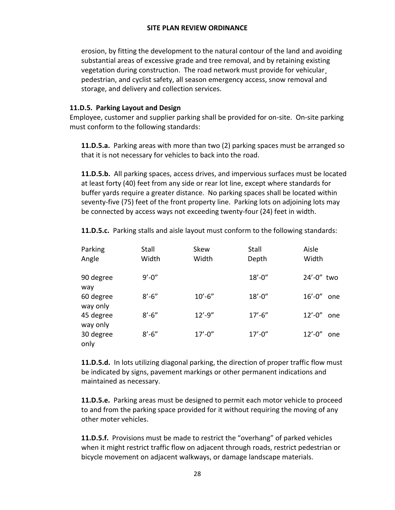erosion, by fitting the development to the natural contour of the land and avoiding substantial areas of excessive grade and tree removal, and by retaining existing vegetation during construction. The road network must provide for vehicular¸ pedestrian, and cyclist safety, all season emergency access, snow removal and storage, and delivery and collection services.

### **11.D.5. Parking Layout and Design**

Employee, customer and supplier parking shall be provided for on-site. On-site parking must conform to the following standards:

**11.D.5.a.** Parking areas with more than two (2) parking spaces must be arranged so that it is not necessary for vehicles to back into the road.

**11.D.5.b.** All parking spaces, access drives, and impervious surfaces must be located at least forty (40) feet from any side or rear lot line, except where standards for buffer yards require a greater distance. No parking spaces shall be located within seventy-five (75) feet of the front property line. Parking lots on adjoining lots may be connected by access ways not exceeding twenty-four (24) feet in width.

**11.D.5.c.** Parking stalls and aisle layout must conform to the following standards:

| Parking<br>Angle      | Stall<br>Width | Skew<br>Width | Stall<br>Depth | Aisle<br>Width     |
|-----------------------|----------------|---------------|----------------|--------------------|
| 90 degree<br>way      | $9' - 0''$     |               | $18' - 0''$    | 24'-0" two         |
| 60 degree<br>way only | $8' - 6''$     | $10' - 6''$   | $18' - 0''$    | $16' - 0''$<br>one |
| 45 degree<br>way only | $8' - 6''$     | $12' - 9''$   | $17' - 6''$    | $12' - 0''$<br>one |
| 30 degree<br>only     | $8' - 6''$     | $17' - 0''$   | $17' - 0''$    | $12' - 0''$<br>one |

**11.D.5.d.** In lots utilizing diagonal parking, the direction of proper traffic flow must be indicated by signs, pavement markings or other permanent indications and maintained as necessary.

**11.D.5.e.** Parking areas must be designed to permit each motor vehicle to proceed to and from the parking space provided for it without requiring the moving of any other moter vehicles.

**11.D.5.f.** Provisions must be made to restrict the "overhang" of parked vehicles when it might restrict traffic flow on adjacent through roads, restrict pedestrian or bicycle movement on adjacent walkways, or damage landscape materials.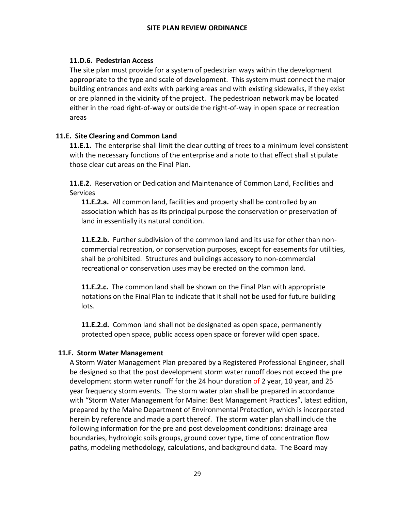## **11.D.6. Pedestrian Access**

The site plan must provide for a system of pedestrian ways within the development appropriate to the type and scale of development. This system must connect the major building entrances and exits with parking areas and with existing sidewalks, if they exist or are planned in the vicinity of the project. The pedestrioan network may be located either in the road right-of-way or outside the right-of-way in open space or recreation areas

## **11.E. Site Clearing and Common Land**

**11.E.1.** The enterprise shall limit the clear cutting of trees to a minimum level consistent with the necessary functions of the enterprise and a note to that effect shall stipulate those clear cut areas on the Final Plan.

**11.E.2**. Reservation or Dedication and Maintenance of Common Land, Facilities and Services

**11.E.2.a.** All common land, facilities and property shall be controlled by an association which has as its principal purpose the conservation or preservation of land in essentially its natural condition.

**11.E.2.b.** Further subdivision of the common land and its use for other than noncommercial recreation, or conservation purposes, except for easements for utilities, shall be prohibited. Structures and buildings accessory to non-commercial recreational or conservation uses may be erected on the common land.

**11.E.2.c.** The common land shall be shown on the Final Plan with appropriate notations on the Final Plan to indicate that it shall not be used for future building lots.

**11.E.2.d.** Common land shall not be designated as open space, permanently protected open space, public access open space or forever wild open space.

## **11.F. Storm Water Management**

A Storm Water Management Plan prepared by a Registered Professional Engineer, shall be designed so that the post development storm water runoff does not exceed the pre development storm water runoff for the 24 hour duration of 2 year, 10 year, and 25 year frequency storm events. The storm water plan shall be prepared in accordance with "Storm Water Management for Maine: Best Management Practices", latest edition, prepared by the Maine Department of Environmental Protection, which is incorporated herein by reference and made a part thereof. The storm water plan shall include the following information for the pre and post development conditions: drainage area boundaries, hydrologic soils groups, ground cover type, time of concentration flow paths, modeling methodology, calculations, and background data. The Board may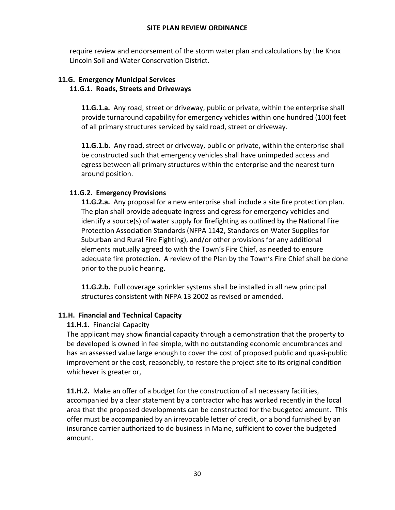require review and endorsement of the storm water plan and calculations by the Knox Lincoln Soil and Water Conservation District.

## **11.G. Emergency Municipal Services 11.G.1. Roads, Streets and Driveways**

**11.G.1.a.** Any road, street or driveway, public or private, within the enterprise shall provide turnaround capability for emergency vehicles within one hundred (100) feet of all primary structures serviced by said road, street or driveway.

**11.G.1.b.** Any road, street or driveway, public or private, within the enterprise shall be constructed such that emergency vehicles shall have unimpeded access and egress between all primary structures within the enterprise and the nearest turn around position.

## **11.G.2. Emergency Provisions**

**11.G.2.a.** Any proposal for a new enterprise shall include a site fire protection plan. The plan shall provide adequate ingress and egress for emergency vehicles and identify a source(s) of water supply for firefighting as outlined by the National Fire Protection Association Standards (NFPA 1142, Standards on Water Supplies for Suburban and Rural Fire Fighting), and/or other provisions for any additional elements mutually agreed to with the Town's Fire Chief, as needed to ensure adequate fire protection. A review of the Plan by the Town's Fire Chief shall be done prior to the public hearing.

**11.G.2.b.** Full coverage sprinkler systems shall be installed in all new principal structures consistent with NFPA 13 2002 as revised or amended.

## **11.H. Financial and Technical Capacity**

## **11.H.1.** Financial Capacity

The applicant may show financial capacity through a demonstration that the property to be developed is owned in fee simple, with no outstanding economic encumbrances and has an assessed value large enough to cover the cost of proposed public and quasi-public improvement or the cost, reasonably, to restore the project site to its original condition whichever is greater or,

**11.H.2.** Make an offer of a budget for the construction of all necessary facilities, accompanied by a clear statement by a contractor who has worked recently in the local area that the proposed developments can be constructed for the budgeted amount. This offer must be accompanied by an irrevocable letter of credit, or a bond furnished by an insurance carrier authorized to do business in Maine, sufficient to cover the budgeted amount.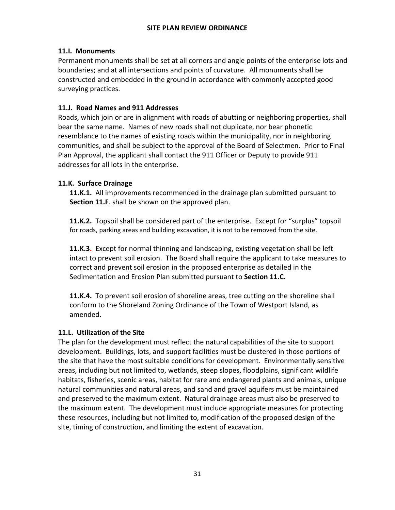## **11.I. Monuments**

Permanent monuments shall be set at all corners and angle points of the enterprise lots and boundaries; and at all intersections and points of curvature. All monuments shall be constructed and embedded in the ground in accordance with commonly accepted good surveying practices.

## **11.J. Road Names and 911 Addresses**

Roads, which join or are in alignment with roads of abutting or neighboring properties, shall bear the same name. Names of new roads shall not duplicate, nor bear phonetic resemblance to the names of existing roads within the municipality, nor in neighboring communities, and shall be subject to the approval of the Board of Selectmen. Prior to Final Plan Approval, the applicant shall contact the 911 Officer or Deputy to provide 911 addresses for all lots in the enterprise.

## **11.K. Surface Drainage**

**11.K.1.** All improvements recommended in the drainage plan submitted pursuant to **Section 11.F**. shall be shown on the approved plan.

**11.K.2.** Topsoil shall be considered part of the enterprise. Except for "surplus" topsoil for roads, parking areas and building excavation, it is not to be removed from the site.

**11.K.3.** Except for normal thinning and landscaping, existing vegetation shall be left intact to prevent soil erosion. The Board shall require the applicant to take measures to correct and prevent soil erosion in the proposed enterprise as detailed in the Sedimentation and Erosion Plan submitted pursuant to **Section 11.C.**

**11.K.4.** To prevent soil erosion of shoreline areas, tree cutting on the shoreline shall conform to the Shoreland Zoning Ordinance of the Town of Westport Island, as amended.

## **11.L. Utilization of the Site**

The plan for the development must reflect the natural capabilities of the site to support development. Buildings, lots, and support facilities must be clustered in those portions of the site that have the most suitable conditions for development. Environmentally sensitive areas, including but not limited to, wetlands, steep slopes, floodplains, significant wildlife habitats, fisheries, scenic areas, habitat for rare and endangered plants and animals, unique natural communities and natural areas, and sand and gravel aquifers must be maintained and preserved to the maximum extent. Natural drainage areas must also be preserved to the maximum extent. The development must include appropriate measures for protecting these resources, including but not limited to, modification of the proposed design of the site, timing of construction, and limiting the extent of excavation.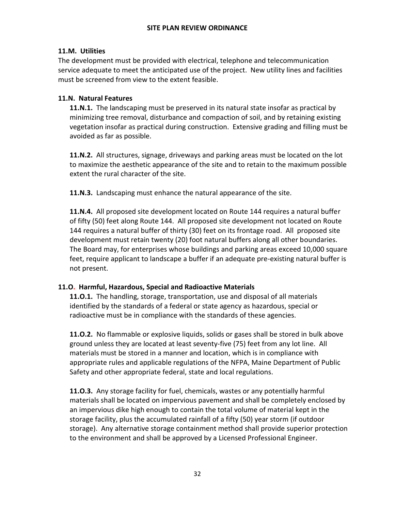## **11.M. Utilities**

The development must be provided with electrical, telephone and telecommunication service adequate to meet the anticipated use of the project. New utility lines and facilities must be screened from view to the extent feasible.

## **11.N. Natural Features**

**11.N.1.** The landscaping must be preserved in its natural state insofar as practical by minimizing tree removal, disturbance and compaction of soil, and by retaining existing vegetation insofar as practical during construction. Extensive grading and filling must be avoided as far as possible.

**11.N.2.** All structures, signage, driveways and parking areas must be located on the lot to maximize the aesthetic appearance of the site and to retain to the maximum possible extent the rural character of the site.

**11.N.3.** Landscaping must enhance the natural appearance of the site.

**11.N.4.** All proposed site development located on Route 144 requires a natural buffer of fifty (50) feet along Route 144. All proposed site development not located on Route 144 requires a natural buffer of thirty (30) feet on its frontage road. All proposed site development must retain twenty (20) foot natural buffers along all other boundaries. The Board may, for enterprises whose buildings and parking areas exceed 10,000 square feet, require applicant to landscape a buffer if an adequate pre-existing natural buffer is not present.

## **11.O. Harmful, Hazardous, Special and Radioactive Materials**

**11.O.1.** The handling, storage, transportation, use and disposal of all materials identified by the standards of a federal or state agency as hazardous, special or radioactive must be in compliance with the standards of these agencies.

**11.O.2.** No flammable or explosive liquids, solids or gases shall be stored in bulk above ground unless they are located at least seventy-five (75) feet from any lot line. All materials must be stored in a manner and location, which is in compliance with appropriate rules and applicable regulations of the NFPA, Maine Department of Public Safety and other appropriate federal, state and local regulations.

**11.O.3.** Any storage facility for fuel, chemicals, wastes or any potentially harmful materials shall be located on impervious pavement and shall be completely enclosed by an impervious dike high enough to contain the total volume of material kept in the storage facility, plus the accumulated rainfall of a fifty (50) year storm (if outdoor storage). Any alternative storage containment method shall provide superior protection to the environment and shall be approved by a Licensed Professional Engineer.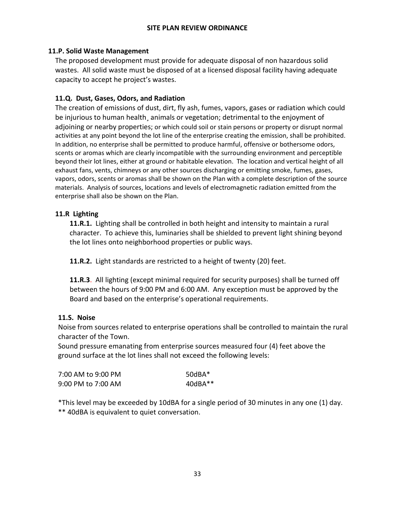#### **11.P. Solid Waste Management**

The proposed development must provide for adequate disposal of non hazardous solid wastes. All solid waste must be disposed of at a licensed disposal facility having adequate capacity to accept he project's wastes.

### **11.Q. Dust, Gases, Odors, and Radiation**

The creation of emissions of dust, dirt, fly ash, fumes, vapors, gases or radiation which could be injurious to human health, animals or vegetation; detrimental to the enjoyment of adjoining or nearby properties; or which could soil or stain persons or property or disrupt normal activities at any point beyond the lot line of the enterprise creating the emission, shall be prohibited. In addition, no enterprise shall be permitted to produce harmful, offensive or bothersome odors, scents or aromas which are clearly incompatible with the surrounding environment and perceptible beyond their lot lines, either at ground or habitable elevation. The location and vertical height of all exhaust fans, vents, chimneys or any other sources discharging or emitting smoke, fumes, gases, vapors, odors, scents or aromas shall be shown on the Plan with a complete description of the source materials. Analysis of sources, locations and levels of electromagnetic radiation emitted from the enterprise shall also be shown on the Plan.

### **11.R Lighting**

**11.R.1.** Lighting shall be controlled in both height and intensity to maintain a rural character. To achieve this, luminaries shall be shielded to prevent light shining beyond the lot lines onto neighborhood properties or public ways.

**11.R.2.** Light standards are restricted to a height of twenty (20) feet.

**11.R.3**. All lighting (except minimal required for security purposes) shall be turned off between the hours of 9:00 PM and 6:00 AM. Any exception must be approved by the Board and based on the enterprise's operational requirements.

#### **11.S. Noise**

Noise from sources related to enterprise operations shall be controlled to maintain the rural character of the Town.

Sound pressure emanating from enterprise sources measured four (4) feet above the ground surface at the lot lines shall not exceed the following levels:

| 7:00 AM to 9:00 PM | $50dBA*$  |
|--------------------|-----------|
| 9:00 PM to 7:00 AM | $40dBA**$ |

\*This level may be exceeded by 10dBA for a single period of 30 minutes in any one (1) day. \*\* 40dBA is equivalent to quiet conversation.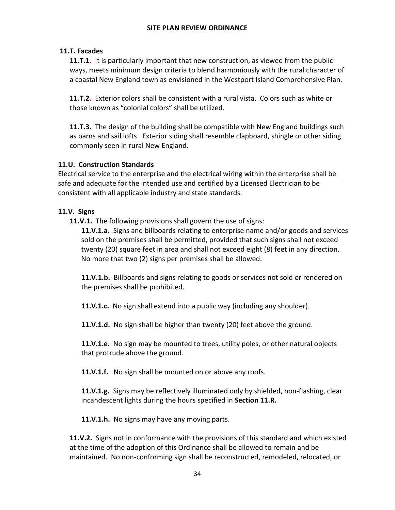### **11.T. Facades**

**11.T.1.** It is particularly important that new construction, as viewed from the public ways, meets minimum design criteria to blend harmoniously with the rural character of a coastal New England town as envisioned in the Westport Island Comprehensive Plan.

**11.T.2.** Exterior colors shall be consistent with a rural vista. Colors such as white or those known as "colonial colors" shall be utilized.

**11.T.3.** The design of the building shall be compatible with New England buildings such as barns and sail lofts. Exterior siding shall resemble clapboard, shingle or other siding commonly seen in rural New England.

#### **11.U. Construction Standards**

Electrical service to the enterprise and the electrical wiring within the enterprise shall be safe and adequate for the intended use and certified by a Licensed Electrician to be consistent with all applicable industry and state standards.

### **11.V. Signs**

**11.V.1.** The following provisions shall govern the use of signs:

**11.V.1.a.** Signs and billboards relating to enterprise name and/or goods and services sold on the premises shall be permitted, provided that such signs shall not exceed twenty (20) square feet in area and shall not exceed eight (8) feet in any direction. No more that two (2) signs per premises shall be allowed.

**11.V.1.b.** Billboards and signs relating to goods or services not sold or rendered on the premises shall be prohibited.

**11.V.1.c.** No sign shall extend into a public way (including any shoulder).

**11.V.1.d.** No sign shall be higher than twenty (20) feet above the ground.

**11.V.1.e.** No sign may be mounted to trees, utility poles, or other natural objects that protrude above the ground.

**11.V.1.f.** No sign shall be mounted on or above any roofs.

**11.V.1.g.** Signs may be reflectively illuminated only by shielded, non-flashing, clear incandescent lights during the hours specified in **Section 11.R.**

**11.V.1.h.** No signs may have any moving parts.

**11.V.2.** Signs not in conformance with the provisions of this standard and which existed at the time of the adoption of this Ordinance shall be allowed to remain and be maintained. No non-conforming sign shall be reconstructed, remodeled, relocated, or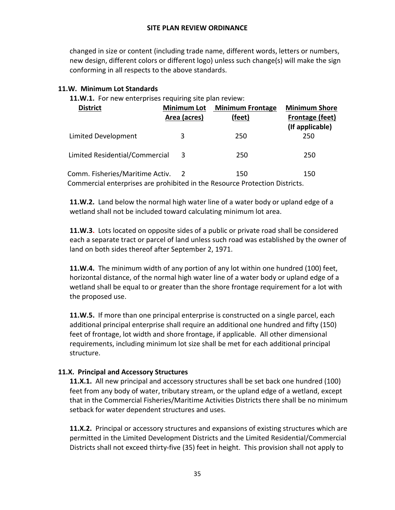changed in size or content (including trade name, different words, letters or numbers, new design, different colors or different logo) unless such change(s) will make the sign conforming in all respects to the above standards.

## **11.W. Minimum Lot Standards**

**11.W.1.** For new enterprises requiring site plan review:

| <b>District</b>                                                                                                | <b>Minimum Lot</b><br>Area (acres) | <b>Minimum Frontage</b><br>(feet) | <b>Minimum Shore</b><br><b>Frontage (feet)</b><br>(If applicable) |
|----------------------------------------------------------------------------------------------------------------|------------------------------------|-----------------------------------|-------------------------------------------------------------------|
| Limited Development                                                                                            | 3                                  | 250                               | 250                                                               |
| Limited Residential/Commercial                                                                                 | 3                                  | 250                               | 250                                                               |
| Comm. Fisheries/Maritime Activ.<br>Commercial enterprises are prohibited in the Resource Protection Districts. |                                    | 150                               | 150                                                               |

**11.W.2.** Land below the normal high water line of a water body or upland edge of a wetland shall not be included toward calculating minimum lot area.

**11.W.3.** Lots located on opposite sides of a public or private road shall be considered each a separate tract or parcel of land unless such road was established by the owner of land on both sides thereof after September 2, 1971.

**11.W.4.** The minimum width of any portion of any lot within one hundred (100) feet, horizontal distance, of the normal high water line of a water body or upland edge of a wetland shall be equal to or greater than the shore frontage requirement for a lot with the proposed use.

**11.W.5.** If more than one principal enterprise is constructed on a single parcel, each additional principal enterprise shall require an additional one hundred and fifty (150) feet of frontage, lot width and shore frontage, if applicable. All other dimensional requirements, including minimum lot size shall be met for each additional principal structure.

## **11.X. Principal and Accessory Structures**

**11.X.1.** All new principal and accessory structures shall be set back one hundred (100) feet from any body of water, tributary stream, or the upland edge of a wetland, except that in the Commercial Fisheries/Maritime Activities Districts there shall be no minimum setback for water dependent structures and uses.

**11.X.2.** Principal or accessory structures and expansions of existing structures which are permitted in the Limited Development Districts and the Limited Residential/Commercial Districts shall not exceed thirty-five (35) feet in height. This provision shall not apply to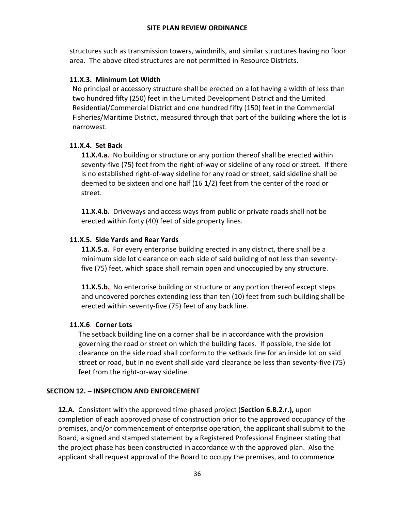structures such as transmission towers, windmills, and similar structures having no floor area. The above cited structures are not permitted in Resource Districts.

## **11.X.3. Minimum Lot Width**

No principal or accessory structure shall be erected on a lot having a width of less than two hundred fifty (250) feet in the Limited Development District and the Limited Residential/Commercial District and one hundred fifty (150) feet in the Commercial Fisheries/Maritime District, measured through that part of the building where the lot is narrowest.

## **11.X.4. Set Back**

**11.X.4.a.** No building or structure or any portion thereof shall be erected within seventy-five (75) feet from the right-of-way or sideline of any road or street. If there is no established right-of-way sideline for any road or street, said sideline shall be deemed to be sixteen and one half (16 1/2) feet from the center of the road or street.

**11.X.4.b.** Driveways and access ways from public or private roads shall not be erected within forty (40) feet of side property lines.

## **11.X.5. Side Yards and Rear Yards**

**11.X.5.a.** For every enterprise building erected in any district, there shall be a minimum side lot clearance on each side of said building of not less than seventyfive (75) feet, which space shall remain open and unoccupied by any structure.

**11.X.5.b.** No enterprise building or structure or any portion thereof except steps and uncovered porches extending less than ten (10) feet from such building shall be erected within seventy-five (75) feet of any back line.

## **11.X.6**. **Corner Lots**

 The setback building line on a corner shall be in accordance with the provision governing the road or street on which the building faces. If possible, the side lot clearance on the side road shall conform to the setback line for an inside lot on said street or road, but in no event shall side yard clearance be less than seventy-five (75) feet from the right-or-way sideline.

## **SECTION 12. – INSPECTION AND ENFORCEMENT**

**12.A.** Consistent with the approved time-phased project (**Section 6.B.2.r.),** upon completion of each approved phase of construction prior to the approved occupancy of the premises, and/or commencement of enterprise operation, the applicant shall submit to the Board, a signed and stamped statement by a Registered Professional Engineer stating that the project phase has been constructed in accordance with the approved plan. Also the applicant shall request approval of the Board to occupy the premises, and to commence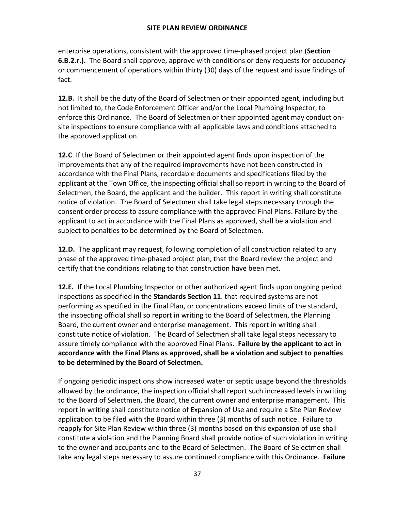enterprise operations, consistent with the approved time-phased project plan (**Section 6.B.2.r.).** The Board shall approve, approve with conditions or deny requests for occupancy or commencement of operations within thirty (30) days of the request and issue findings of fact.

**12.B.** It shall be the duty of the Board of Selectmen or their appointed agent, including but not limited to, the Code Enforcement Officer and/or the Local Plumbing Inspector, to enforce this Ordinance. The Board of Selectmen or their appointed agent may conduct onsite inspections to ensure compliance with all applicable laws and conditions attached to the approved application.

**12.C**. If the Board of Selectmen or their appointed agent finds upon inspection of the improvements that any of the required improvements have not been constructed in accordance with the Final Plans, recordable documents and specifications filed by the applicant at the Town Office, the inspecting official shall so report in writing to the Board of Selectmen, the Board, the applicant and the builder. This report in writing shall constitute notice of violation. The Board of Selectmen shall take legal steps necessary through the consent order process to assure compliance with the approved Final Plans. Failure by the applicant to act in accordance with the Final Plans as approved, shall be a violation and subject to penalties to be determined by the Board of Selectmen.

**12.D.** The applicant may request, following completion of all construction related to any phase of the approved time-phased project plan, that the Board review the project and certify that the conditions relating to that construction have been met.

**12.E.** If the Local Plumbing Inspector or other authorized agent finds upon ongoing period inspections as specified in the **Standards Section 11**. that required systems are not performing as specified in the Final Plan, or concentrations exceed limits of the standard, the inspecting official shall so report in writing to the Board of Selectmen, the Planning Board, the current owner and enterprise management. This report in writing shall constitute notice of violation. The Board of Selectmen shall take legal steps necessary to assure timely compliance with the approved Final Plans**. Failure by the applicant to act in accordance with the Final Plans as approved, shall be a violation and subject to penalties to be determined by the Board of Selectmen.** 

If ongoing periodic inspections show increased water or septic usage beyond the thresholds allowed by the ordinance, the inspection official shall report such increased levels in writing to the Board of Selectmen, the Board, the current owner and enterprise management. This report in writing shall constitute notice of Expansion of Use and require a Site Plan Review application to be filed with the Board within three (3) months of such notice. Failure to reapply for Site Plan Review within three (3) months based on this expansion of use shall constitute a violation and the Planning Board shall provide notice of such violation in writing to the owner and occupants and to the Board of Selectmen. The Board of Selectmen shall take any legal steps necessary to assure continued compliance with this Ordinance. **Failure**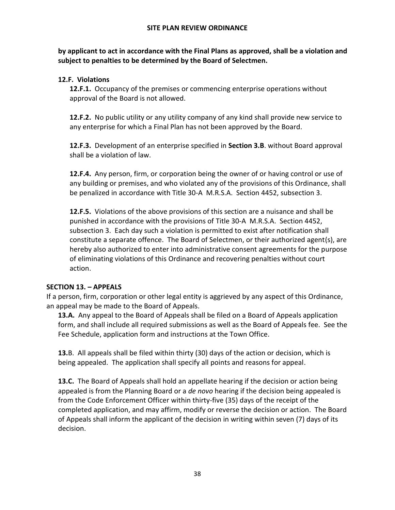**by applicant to act in accordance with the Final Plans as approved, shall be a violation and subject to penalties to be determined by the Board of Selectmen.**

## **12.F. Violations**

**12.F.1.** Occupancy of the premises or commencing enterprise operations without approval of the Board is not allowed.

**12.F.2.** No public utility or any utility company of any kind shall provide new service to any enterprise for which a Final Plan has not been approved by the Board.

**12.F.3.** Development of an enterprise specified in **Section 3.B**. without Board approval shall be a violation of law.

**12.F.4.** Any person, firm, or corporation being the owner of or having control or use of any building or premises, and who violated any of the provisions of this Ordinance, shall be penalized in accordance with Title 30-A M.R.S.A. Section 4452, subsection 3.

**12.F.5.** Violations of the above provisions of this section are a nuisance and shall be punished in accordance with the provisions of Title 30-A M.R.S.A. Section 4452, subsection 3. Each day such a violation is permitted to exist after notification shall constitute a separate offence. The Board of Selectmen, or their authorized agent(s), are hereby also authorized to enter into administrative consent agreements for the purpose of eliminating violations of this Ordinance and recovering penalties without court action.

## **SECTION 13. – APPEALS**

If a person, firm, corporation or other legal entity is aggrieved by any aspect of this Ordinance, an appeal may be made to the Board of Appeals.

**13.A.** Any appeal to the Board of Appeals shall be filed on a Board of Appeals application form, and shall include all required submissions as well as the Board of Appeals fee. See the Fee Schedule, application form and instructions at the Town Office.

**13.**B. All appeals shall be filed within thirty (30) days of the action or decision, which is being appealed. The application shall specify all points and reasons for appeal.

**13.C.** The Board of Appeals shall hold an appellate hearing if the decision or action being appealed is from the Planning Board or a *de novo* hearing if the decision being appealed is from the Code Enforcement Officer within thirty-five (35) days of the receipt of the completed application, and may affirm, modify or reverse the decision or action. The Board of Appeals shall inform the applicant of the decision in writing within seven (7) days of its decision.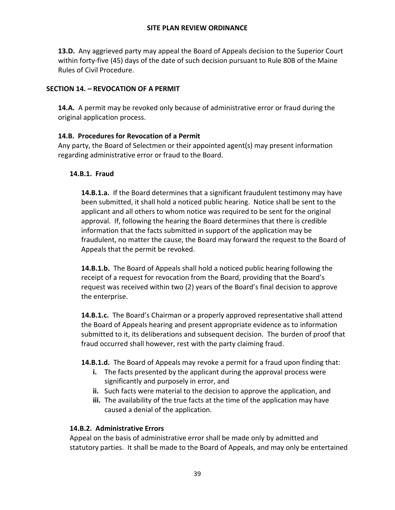**13.D.** Any aggrieved party may appeal the Board of Appeals decision to the Superior Court within forty-five (45) days of the date of such decision pursuant to Rule 80B of the Maine Rules of Civil Procedure.

### **SECTION 14. – REVOCATION OF A PERMIT**

**14.A.** A permit may be revoked only because of administrative error or fraud during the original application process.

### **14.B. Procedures for Revocation of a Permit**

Any party, the Board of Selectmen or their appointed agent(s) may present information regarding administrative error or fraud to the Board.

#### **14.B.1. Fraud**

**14.B.1.a.** If the Board determines that a significant fraudulent testimony may have been submitted, it shall hold a noticed public hearing. Notice shall be sent to the applicant and all others to whom notice was required to be sent for the original approval. If, following the hearing the Board determines that there is credible information that the facts submitted in support of the application may be fraudulent, no matter the cause, the Board may forward the request to the Board of Appeals that the permit be revoked.

**14.B.1.b.** The Board of Appeals shall hold a noticed public hearing following the receipt of a request for revocation from the Board, providing that the Board's request was received within two (2) years of the Board's final decision to approve the enterprise.

**14.B.1.c.** The Board's Chairman or a properly approved representative shall attend the Board of Appeals hearing and present appropriate evidence as to information submitted to it, its deliberations and subsequent decision. The burden of proof that fraud occurred shall however, rest with the party claiming fraud.

## **14.B.1.d.** The Board of Appeals may revoke a permit for a fraud upon finding that:

- **i.** The facts presented by the applicant during the approval process were significantly and purposely in error, and
- **ii.** Such facts were material to the decision to approve the application, and
- **iii.** The availability of the true facts at the time of the application may have caused a denial of the application.

## **14.B.2. Administrative Errors**

Appeal on the basis of administrative error shall be made only by admitted and statutory parties. It shall be made to the Board of Appeals, and may only be entertained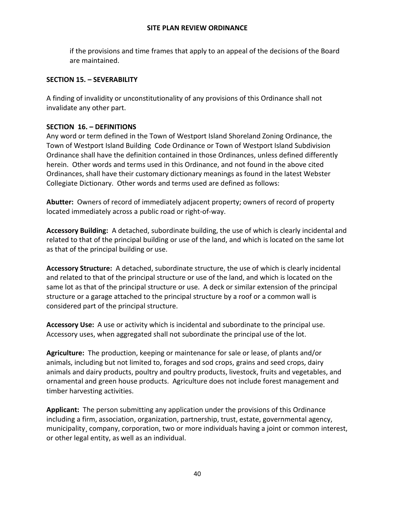if the provisions and time frames that apply to an appeal of the decisions of the Board are maintained.

#### **SECTION 15. – SEVERABILITY**

A finding of invalidity or unconstitutionality of any provisions of this Ordinance shall not invalidate any other part.

#### **SECTION 16. – DEFINITIONS**

Any word or term defined in the Town of Westport Island Shoreland Zoning Ordinance, the Town of Westport Island Building Code Ordinance or Town of Westport Island Subdivision Ordinance shall have the definition contained in those Ordinances, unless defined differently herein. Other words and terms used in this Ordinance, and not found in the above cited Ordinances, shall have their customary dictionary meanings as found in the latest Webster Collegiate Dictionary. Other words and terms used are defined as follows:

**Abutter:** Owners of record of immediately adjacent property; owners of record of property located immediately across a public road or right-of-way.

**Accessory Building:** A detached, subordinate building, the use of which is clearly incidental and related to that of the principal building or use of the land, and which is located on the same lot as that of the principal building or use.

**Accessory Structure:** A detached, subordinate structure, the use of which is clearly incidental and related to that of the principal structure or use of the land, and which is located on the same lot as that of the principal structure or use. A deck or similar extension of the principal structure or a garage attached to the principal structure by a roof or a common wall is considered part of the principal structure.

**Accessory Use:** A use or activity which is incidental and subordinate to the principal use. Accessory uses, when aggregated shall not subordinate the principal use of the lot.

**Agriculture:** The production, keeping or maintenance for sale or lease, of plants and/or animals, including but not limited to, forages and sod crops, grains and seed crops, dairy animals and dairy products, poultry and poultry products, livestock, fruits and vegetables, and ornamental and green house products. Agriculture does not include forest management and timber harvesting activities.

**Applicant:** The person submitting any application under the provisions of this Ordinance including a firm, association, organization, partnership, trust, estate, governmental agency, municipality, company, corporation, two or more individuals having a joint or common interest, or other legal entity, as well as an individual.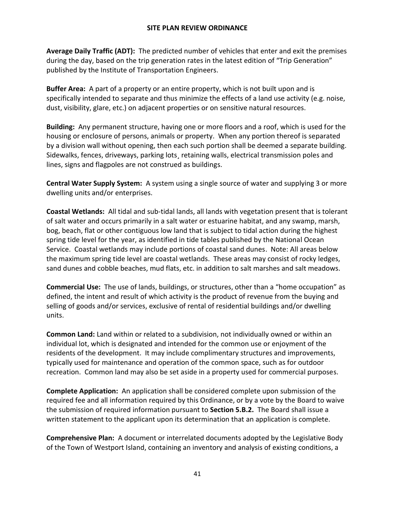**Average Daily Traffic (ADT):** The predicted number of vehicles that enter and exit the premises during the day, based on the trip generation rates in the latest edition of "Trip Generation" published by the Institute of Transportation Engineers.

**Buffer Area:** A part of a property or an entire property, which is not built upon and is specifically intended to separate and thus minimize the effects of a land use activity (e.g. noise, dust, visibility, glare, etc.) on adjacent properties or on sensitive natural resources.

**Building:** Any permanent structure, having one or more floors and a roof, which is used for the housing or enclosure of persons, animals or property. When any portion thereof is separated by a division wall without opening, then each such portion shall be deemed a separate building. Sidewalks, fences, driveways, parking lots¸ retaining walls, electrical transmission poles and lines, signs and flagpoles are not construed as buildings.

**Central Water Supply System:** A system using a single source of water and supplying 3 or more dwelling units and/or enterprises.

**Coastal Wetlands:** All tidal and sub-tidal lands, all lands with vegetation present that is tolerant of salt water and occurs primarily in a salt water or estuarine habitat, and any swamp, marsh, bog, beach, flat or other contiguous low land that is subject to tidal action during the highest spring tide level for the year, as identified in tide tables published by the National Ocean Service. Coastal wetlands may include portions of coastal sand dunes. Note: All areas below the maximum spring tide level are coastal wetlands. These areas may consist of rocky ledges, sand dunes and cobble beaches, mud flats, etc. in addition to salt marshes and salt meadows.

**Commercial Use:** The use of lands, buildings, or structures, other than a "home occupation" as defined, the intent and result of which activity is the product of revenue from the buying and selling of goods and/or services, exclusive of rental of residential buildings and/or dwelling units.

**Common Land:** Land within or related to a subdivision, not individually owned or within an individual lot, which is designated and intended for the common use or enjoyment of the residents of the development. It may include complimentary structures and improvements, typically used for maintenance and operation of the common space, such as for outdoor recreation. Common land may also be set aside in a property used for commercial purposes.

**Complete Application:** An application shall be considered complete upon submission of the required fee and all information required by this Ordinance, or by a vote by the Board to waive the submission of required information pursuant to **Section 5.B.2.** The Board shall issue a written statement to the applicant upon its determination that an application is complete.

**Comprehensive Plan:** A document or interrelated documents adopted by the Legislative Body of the Town of Westport Island, containing an inventory and analysis of existing conditions, a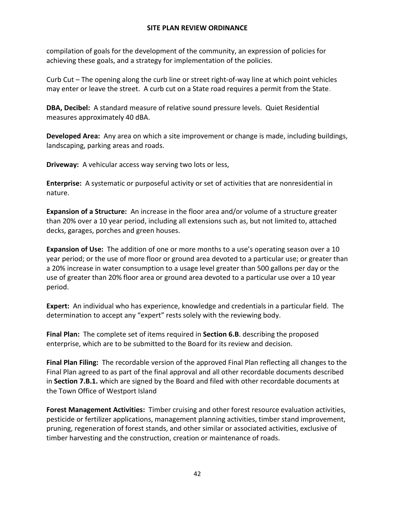compilation of goals for the development of the community, an expression of policies for achieving these goals, and a strategy for implementation of the policies.

Curb Cut – The opening along the curb line or street right-of-way line at which point vehicles may enter or leave the street. A curb cut on a State road requires a permit from the State.

**DBA, Decibel:** A standard measure of relative sound pressure levels. Quiet Residential measures approximately 40 dBA.

**Developed Area:** Any area on which a site improvement or change is made, including buildings, landscaping, parking areas and roads.

**Driveway:** A vehicular access way serving two lots or less,

**Enterprise:** A systematic or purposeful activity or set of activities that are nonresidential in nature.

**Expansion of a Structure:** An increase in the floor area and/or volume of a structure greater than 20% over a 10 year period, including all extensions such as, but not limited to, attached decks, garages, porches and green houses.

**Expansion of Use:** The addition of one or more months to a use's operating season over a 10 year period; or the use of more floor or ground area devoted to a particular use; or greater than a 20% increase in water consumption to a usage level greater than 500 gallons per day or the use of greater than 20% floor area or ground area devoted to a particular use over a 10 year period.

**Expert:** An individual who has experience, knowledge and credentials in a particular field. The determination to accept any "expert" rests solely with the reviewing body.

**Final Plan:** The complete set of items required in **Section 6.B**. describing the proposed enterprise, which are to be submitted to the Board for its review and decision.

**Final Plan Filing:** The recordable version of the approved Final Plan reflecting all changes to the Final Plan agreed to as part of the final approval and all other recordable documents described in **Section 7.B.1.** which are signed by the Board and filed with other recordable documents at the Town Office of Westport Island

**Forest Management Activities:** Timber cruising and other forest resource evaluation activities, pesticide or fertilizer applications, management planning activities, timber stand improvement, pruning, regeneration of forest stands, and other similar or associated activities, exclusive of timber harvesting and the construction, creation or maintenance of roads.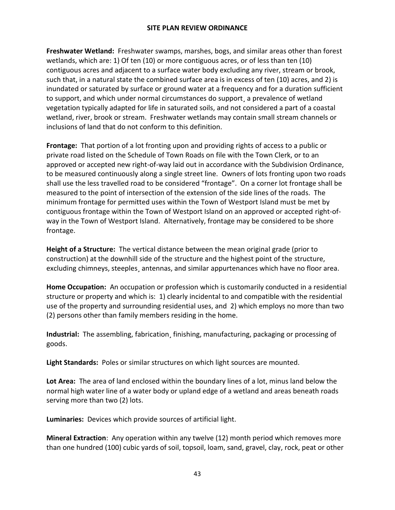**Freshwater Wetland:** Freshwater swamps, marshes, bogs, and similar areas other than forest wetlands, which are: 1) Of ten (10) or more contiguous acres, or of less than ten (10) contiguous acres and adjacent to a surface water body excluding any river, stream or brook, such that, in a natural state the combined surface area is in excess of ten (10) acres, and 2) is inundated or saturated by surface or ground water at a frequency and for a duration sufficient to support, and which under normal circumstances do support¸ a prevalence of wetland vegetation typically adapted for life in saturated soils, and not considered a part of a coastal wetland, river, brook or stream. Freshwater wetlands may contain small stream channels or inclusions of land that do not conform to this definition.

**Frontage:** That portion of a lot fronting upon and providing rights of access to a public or private road listed on the Schedule of Town Roads on file with the Town Clerk, or to an approved or accepted new right-of-way laid out in accordance with the Subdivision Ordinance, to be measured continuously along a single street line. Owners of lots fronting upon two roads shall use the less travelled road to be considered "frontage". On a corner lot frontage shall be measured to the point of intersection of the extension of the side lines of the roads. The minimum frontage for permitted uses within the Town of Westport Island must be met by contiguous frontage within the Town of Westport Island on an approved or accepted right-ofway in the Town of Westport Island. Alternatively, frontage may be considered to be shore frontage.

**Height of a Structure:** The vertical distance between the mean original grade (prior to construction) at the downhill side of the structure and the highest point of the structure, excluding chimneys, steeples¸ antennas, and similar appurtenances which have no floor area.

**Home Occupation:** An occupation or profession which is customarily conducted in a residential structure or property and which is: 1) clearly incidental to and compatible with the residential use of the property and surrounding residential uses, and 2) which employs no more than two (2) persons other than family members residing in the home.

**Industrial:** The assembling, fabrication¸ finishing, manufacturing, packaging or processing of goods.

**Light Standards:** Poles or similar structures on which light sources are mounted.

**Lot Area:** The area of land enclosed within the boundary lines of a lot, minus land below the normal high water line of a water body or upland edge of a wetland and areas beneath roads serving more than two (2) lots.

**Luminaries:** Devices which provide sources of artificial light.

**Mineral Extraction**: Any operation within any twelve (12) month period which removes more than one hundred (100) cubic yards of soil, topsoil, loam, sand, gravel, clay, rock, peat or other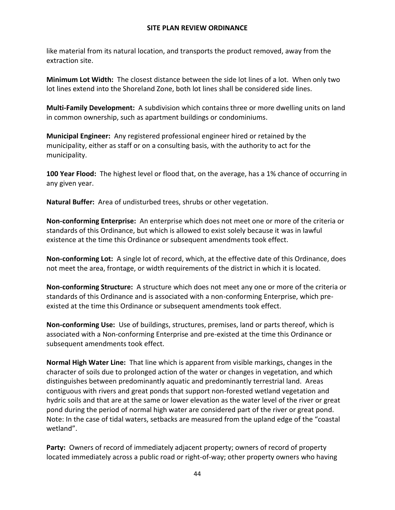like material from its natural location, and transports the product removed, away from the extraction site.

**Minimum Lot Width:** The closest distance between the side lot lines of a lot. When only two lot lines extend into the Shoreland Zone, both lot lines shall be considered side lines.

**Multi-Family Development:** A subdivision which contains three or more dwelling units on land in common ownership, such as apartment buildings or condominiums.

**Municipal Engineer:** Any registered professional engineer hired or retained by the municipality, either as staff or on a consulting basis, with the authority to act for the municipality.

**100 Year Flood:** The highest level or flood that, on the average, has a 1% chance of occurring in any given year.

**Natural Buffer:** Area of undisturbed trees, shrubs or other vegetation.

**Non-conforming Enterprise:** An enterprise which does not meet one or more of the criteria or standards of this Ordinance, but which is allowed to exist solely because it was in lawful existence at the time this Ordinance or subsequent amendments took effect.

**Non-conforming Lot:** A single lot of record, which, at the effective date of this Ordinance, does not meet the area, frontage, or width requirements of the district in which it is located.

**Non-conforming Structure:** A structure which does not meet any one or more of the criteria or standards of this Ordinance and is associated with a non-conforming Enterprise, which preexisted at the time this Ordinance or subsequent amendments took effect.

**Non-conforming Use:** Use of buildings, structures, premises, land or parts thereof, which is associated with a Non-conforming Enterprise and pre-existed at the time this Ordinance or subsequent amendments took effect.

**Normal High Water Line:** That line which is apparent from visible markings, changes in the character of soils due to prolonged action of the water or changes in vegetation, and which distinguishes between predominantly aquatic and predominantly terrestrial land. Areas contiguous with rivers and great ponds that support non-forested wetland vegetation and hydric soils and that are at the same or lower elevation as the water level of the river or great pond during the period of normal high water are considered part of the river or great pond. Note: In the case of tidal waters, setbacks are measured from the upland edge of the "coastal wetland".

**Party:** Owners of record of immediately adjacent property; owners of record of property located immediately across a public road or right-of-way; other property owners who having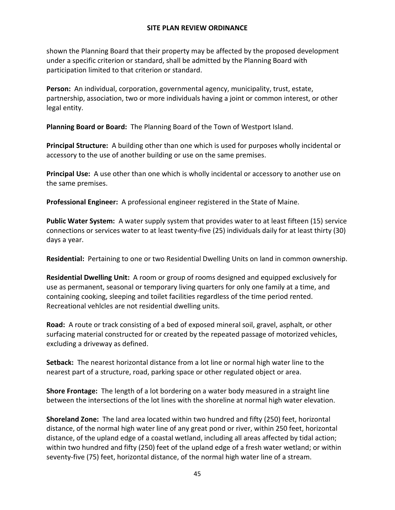shown the Planning Board that their property may be affected by the proposed development under a specific criterion or standard, shall be admitted by the Planning Board with participation limited to that criterion or standard.

**Person:** An individual, corporation, governmental agency, municipality, trust, estate, partnership, association, two or more individuals having a joint or common interest, or other legal entity.

**Planning Board or Board:** The Planning Board of the Town of Westport Island.

**Principal Structure:** A building other than one which is used for purposes wholly incidental or accessory to the use of another building or use on the same premises.

**Principal Use:** A use other than one which is wholly incidental or accessory to another use on the same premises.

**Professional Engineer:** A professional engineer registered in the State of Maine.

**Public Water System:** A water supply system that provides water to at least fifteen (15) service connections or services water to at least twenty-five (25) individuals daily for at least thirty (30) days a year.

**Residential:** Pertaining to one or two Residential Dwelling Units on land in common ownership.

**Residential Dwelling Unit:** A room or group of rooms designed and equipped exclusively for use as permanent, seasonal or temporary living quarters for only one family at a time, and containing cooking, sleeping and toilet facilities regardless of the time period rented. Recreational vehlcles are not residential dwelling units.

**Road:** A route or track consisting of a bed of exposed mineral soil, gravel, asphalt, or other surfacing material constructed for or created by the repeated passage of motorized vehicles, excluding a driveway as defined.

**Setback:** The nearest horizontal distance from a lot line or normal high water line to the nearest part of a structure, road, parking space or other regulated object or area.

**Shore Frontage:** The length of a lot bordering on a water body measured in a straight line between the intersections of the lot lines with the shoreline at normal high water elevation.

**Shoreland Zone:** The land area located within two hundred and fifty (250) feet, horizontal distance, of the normal high water line of any great pond or river, within 250 feet, horizontal distance, of the upland edge of a coastal wetland, including all areas affected by tidal action; within two hundred and fifty (250) feet of the upland edge of a fresh water wetland; or within seventy-five (75) feet, horizontal distance, of the normal high water line of a stream.